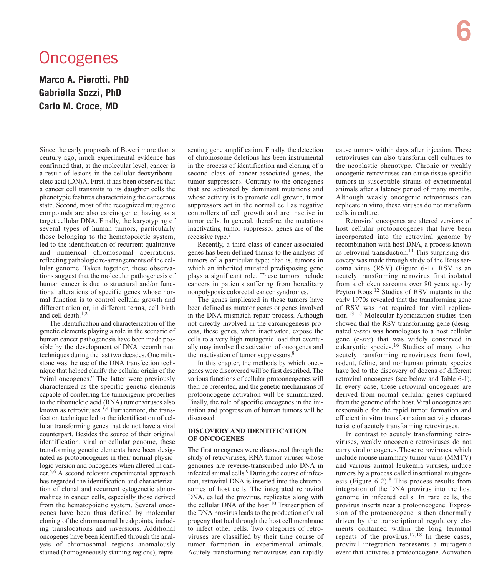# **Oncogenes**

**Marco A. Pierotti, PhD Gabriella Sozzi, PhD Carlo M. Croce, MD**

Since the early proposals of Boveri more than a century ago, much experimental evidence has confirmed that, at the molecular level, cancer is a result of lesions in the cellular deoxyribonucleic acid (DN)A. First, it has been observed that a cancer cell transmits to its daughter cells the phenotypic features characterizing the cancerous state. Second, most of the recognized mutagenic compounds are also carcinogenic, having as a target cellular DNA. Finally, the karyotyping of several types of human tumors, particularly those belonging to the hematopoietic system, led to the identification of recurrent qualitative and numerical chromosomal aberrations, reflecting pathologic re-arrangements of the cellular genome. Taken together, these observations suggest that the molecular pathogenesis of human cancer is due to structural and/or functional alterations of specific genes whose normal function is to control cellular growth and differentiation or, in different terms, cell birth and cell death. $1,2$ 

The identification and characterization of the genetic elements playing a role in the scenario of human cancer pathogenesis have been made possible by the development of DNA recombinant techniques during the last two decades. One milestone was the use of the DNA transfection technique that helped clarify the cellular origin of the "viral oncogenes." The latter were previously characterized as the specific genetic elements capable of conferring the tumorigenic properties to the ribonucleic acid (RNA) tumor viruses also known as retroviruses.<sup>3,4</sup> Furthermore, the transfection technique led to the identification of cellular transforming genes that do not have a viral counterpart. Besides the source of their original identification, viral or cellular genome, these transforming genetic elements have been designated as protooncogenes in their normal physiologic version and oncogenes when altered in cancer.5,6 A second relevant experimental approach has regarded the identification and characterization of clonal and recurrent cytogenetic abnormalities in cancer cells, especially those derived from the hematopoietic system. Several oncogenes have been thus defined by molecular cloning of the chromosomal breakpoints, including translocations and inversions. Additional oncogenes have been identified through the analysis of chromosomal regions anomalously stained (homogeneously staining regions), representing gene amplification. Finally, the detection of chromosome deletions has been instrumental in the process of identification and cloning of a second class of cancer-associated genes, the tumor suppressors. Contrary to the oncogenes that are activated by dominant mutations and whose activity is to promote cell growth, tumor suppressors act in the normal cell as negative controllers of cell growth and are inactive in tumor cells. In general, therefore, the mutations inactivating tumor suppressor genes are of the recessive type.<sup>7</sup>

Recently, a third class of cancer-associated genes has been defined thanks to the analysis of tumors of a particular type; that is, tumors in which an inherited mutated predisposing gene plays a significant role. These tumors include cancers in patients suffering from hereditary nonpolyposis colorectal cancer syndromes.

The genes implicated in these tumors have been defined as mutator genes or genes involved in the DNA-mismatch repair process. Although not directly involved in the carcinogenesis process, these genes, when inactivated, expose the cells to a very high mutagenic load that eventually may involve the activation of oncogenes and the inactivation of tumor suppressors.<sup>8</sup>

In this chapter, the methods by which oncogenes were discovered will be first described. The various functions of cellular protooncogenes will then be presented, and the genetic mechanisms of protooncogene activation will be summarized. Finally, the role of specific oncogenes in the initiation and progression of human tumors will be discussed.

# **DISCOVERY AND IDENTIFICATION OF ONCOGENES**

The first oncogenes were discovered through the study of retroviruses, RNA tumor viruses whose genomes are reverse-transcribed into DNA in infected animal cells.<sup>9</sup> During the course of infection, retroviral DNA is inserted into the chromosomes of host cells. The integrated retroviral DNA, called the provirus, replicates along with the cellular DNA of the host.10 Transcription of the DNA provirus leads to the production of viral progeny that bud through the host cell membrane to infect other cells. Two categories of retroviruses are classified by their time course of tumor formation in experimental animals. Acutely transforming retroviruses can rapidly

cause tumors within days after injection. These retroviruses can also transform cell cultures to the neoplastic phenotype. Chronic or weakly oncogenic retroviruses can cause tissue-specific tumors in susceptible strains of experimental animals after a latency period of many months. Although weakly oncogenic retroviruses can replicate in vitro, these viruses do not transform cells in culture.

Retroviral oncogenes are altered versions of host cellular protooncogenes that have been incorporated into the retroviral genome by recombination with host DNA, a process known as retroviral transduction.<sup>11</sup> This surprising discovery was made through study of the Rous sarcoma virus (RSV) [\(Figure 6-1\).](#page-1-0) RSV is an acutely transforming retrovirus first isolated from a chicken sarcoma over 80 years ago by Peyton Rous.<sup>12</sup> Studies of RSV mutants in the early 1970s revealed that the transforming gene of RSV was not required for viral replication.13–15 Molecular hybridization studies then showed that the RSV transforming gene (designated v-*src*) was homologous to a host cellular gene (c-*src*) that was widely conserved in eukaryotic species.<sup>16</sup> Studies of many other acutely transforming retroviruses from fowl, rodent, feline, and nonhuman primate species have led to the discovery of dozens of different retroviral oncogenes [\(see below and Table 6-1\).](#page-2-0) In every case, these retroviral oncogenes are derived from normal cellular genes captured from the genome of the host. Viral oncogenes are responsible for the rapid tumor formation and efficient in vitro transformation activity characteristic of acutely transforming retroviruses.

In contrast to acutely transforming retroviruses, weakly oncogenic retroviruses do not carry viral oncogenes. These retroviruses, which include mouse mammary tumor virus (MMTV) and various animal leukemia viruses, induce tumors by a process called insertional mutagenesis [\(Figure 6-2\).](#page-3-0)<sup>8</sup> This process results from integration of the DNA provirus into the host genome in infected cells. In rare cells, the provirus inserts near a protooncogene. Expression of the protooncogene is then abnormally driven by the transcriptional regulatory elements contained within the long terminal repeats of the provirus.<sup>17,18</sup> In these cases, proviral integration represents a mutagenic event that activates a protooncogene. Activation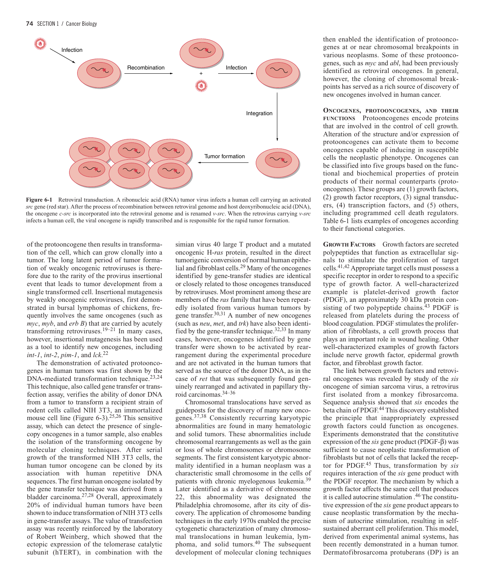<span id="page-1-0"></span>

**Figure 6-1** Retroviral transduction. A ribonucleic acid (RNA) tumor virus infects a human cell carrying an activated *src* gene (red star). After the process of recombination between retroviral genome and host deoxyribonucleic acid (DNA), the oncogene *c-src* is incorporated into the retroviral genome and is renamed *v-src*. When the retrovirus carrying *v-src* infects a human cell, the viral oncogene is rapidly transcribed and is responsible for the rapid tumor formation.

of the protooncogene then results in transformation of the cell, which can grow clonally into a tumor. The long latent period of tumor formation of weakly oncogenic retroviruses is therefore due to the rarity of the provirus insertional event that leads to tumor development from a single transformed cell. Insertional mutagenesis by weakly oncogenic retroviruses, first demonstrated in bursal lymphomas of chickens, frequently involves the same oncogenes (such as *myc*, *myb*, and *erb B*) that are carried by acutely transforming retroviruses.<sup>19–21</sup> In many cases, however, insertional mutagenesis has been used as a tool to identify new oncogenes, including *int-1*, *int-2*, *pim-1*, and *lck*. 22

The demonstration of activated protooncogenes in human tumors was first shown by the DNA-mediated transformation technique.<sup>23,24</sup> This technique, also called gene transfer or transfection assay, verifies the ability of donor DNA from a tumor to transform a recipient strain of rodent cells called NIH 3T3, an immortalized mouse cell line (Figure 6-3).<sup>25,26</sup> This sensitive assay, which can detect the presence of singlecopy oncogenes in a tumor sample, also enables the isolation of the transforming oncogene by molecular cloning techniques. After serial growth of the transformed NIH 3T3 cells, the human tumor oncogene can be cloned by its association with human repetitive DNA sequences. The first human oncogene isolated by the gene transfer technique was derived from a bladder carcinoma.27,28 Overall, approximately 20% of individual human tumors have been shown to induce transformation of NIH 3T3 cells in gene-transfer assays. The value of transfection assay was recently reinforced by the laboratory of Robert Weinberg, which showed that the ectopic expression of the telomerase catalytic subunit (hTERT), in combination with the

simian virus 40 large T product and a mutated oncogenic H-*ras* protein, resulted in the direct tumorigenic conversion of normal human epithelial and fibroblast cells.29 Many of the oncogenes identified by gene-transfer studies are identical or closely related to those oncogenes transduced by retroviruses. Most prominent among these are members of the *ras* family that have been repeatedly isolated from various human tumors by gene transfer.30,31 A number of new oncogenes (such as *neu*, *met*, and *trk*) have also been identified by the gene-transfer technique.<sup>32,33</sup> In many cases, however, oncogenes identified by gene transfer were shown to be activated by rearrangement during the experimental procedure and are not activated in the human tumors that served as the source of the donor DNA, as in the case of *ret* that was subsequently found genuinely rearranged and activated in papillary thyroid carcinomas.34–36

Chromosomal translocations have served as guideposts for the discovery of many new oncogenes.37,38 Consistently recurring karyotypic abnormalities are found in many hematologic and solid tumors. These abnormalities include chromosomal rearrangements as well as the gain or loss of whole chromosomes or chromosome segments. The first consistent karyotypic abnormality identified in a human neoplasm was a characteristic small chromosome in the cells of patients with chronic myelogenous leukemia.39 Later identified as a derivative of chromosome 22, this abnormality was designated the Philadelphia chromosome, after its city of discovery. The application of chromosome banding techniques in the early 1970s enabled the precise cytogenetic characterization of many chromosomal translocations in human leukemia, lymphoma, and solid tumors.<sup>40</sup> The subsequent development of molecular cloning techniques then enabled the identification of protooncogenes at or near chromosomal breakpoints in various neoplasms. Some of these protooncogenes, such as *myc* and *abl*, had been previously identified as retroviral oncogenes. In general, however, the cloning of chromosomal breakpoints has served as a rich source of discovery of new oncogenes involved in human cancer.

**ONCOGENES, PROTOONCOGENES, AND THEIR FUNCTIONS** Protooncogenes encode proteins that are involved in the control of cell growth. Alteration of the structure and/or expression of protooncogenes can activate them to become oncogenes capable of inducing in susceptible cells the neoplastic phenotype. Oncogenes can be classified into five groups based on the functional and biochemical properties of protein products of their normal counterparts (protooncogenes). These groups are (1) growth factors, (2) growth factor receptors, (3) signal transducers, (4) transcription factors, and (5) others, including programmed cell death regulators. [Table 6-1 l](#page-2-0)ists examples of oncogenes according to their functional categories.

**GROWTH FACTORS** Growth factors are secreted polypeptides that function as extracellular signals to stimulate the proliferation of target cells.41,42 Appropriate target cells must possess a specific receptor in order to respond to a specific type of growth factor. A well-characterized example is platelet-derived growth factor (PDGF), an approximately 30 kDa protein consisting of two polypeptide chains. $43$  PDGF is released from platelets during the process of blood coagulation. PDGF stimulates the proliferation of fibroblasts, a cell growth process that plays an important role in wound healing. Other well-characterized examples of growth factors include nerve growth factor, epidermal growth factor, and fibroblast growth factor.

The link between growth factors and retroviral oncogenes was revealed by study of the *sis* oncogene of simian sarcoma virus, a retrovirus first isolated from a monkey fibrosarcoma. Sequence analysis showed that *sis* encodes the beta chain of PDGF.<sup>44</sup> This discovery established the principle that inappropriately expressed growth factors could function as oncogenes. Experiments demonstrated that the constitutive expression of the *sis* gene product (PDGF-β) was sufficient to cause neoplastic transformation of fibroblasts but not of cells that lacked the receptor for PDGF.<sup>45</sup> Thus, transformation by *sis* requires interaction of the *sis* gene product with the PDGF receptor. The mechanism by which a growth factor affects the same cell that produces it is called autocrine stimulation .46 The constitutive expression of the *sis* gene product appears to cause neoplastic transformation by the mechanism of autocrine stimulation, resulting in selfsustained aberrant cell proliferation. This model, derived from experimental animal systems, has been recently demonstrated in a human tumor. Dermatofibrosarcoma protuberans (DP) is an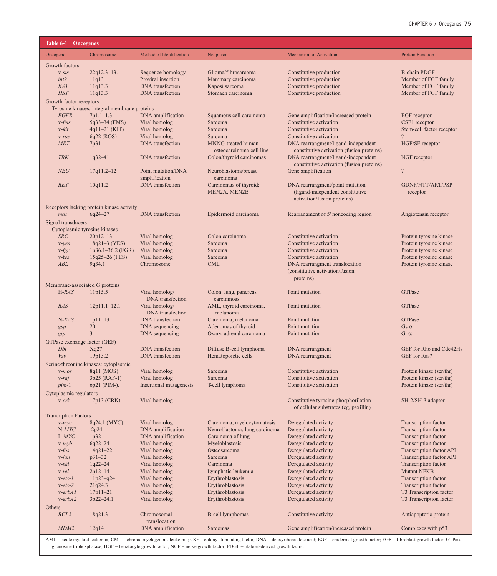<span id="page-2-0"></span>

| Table 6-1 Oncogenes            |                                              |                                          |                                        |                                                                                                    |                                                      |  |
|--------------------------------|----------------------------------------------|------------------------------------------|----------------------------------------|----------------------------------------------------------------------------------------------------|------------------------------------------------------|--|
| Oncogene                       | Chromosome                                   | Method of Identification                 | Neoplasm                               | Mechanism of Activation                                                                            | <b>Protein Function</b>                              |  |
| Growth factors                 |                                              |                                          |                                        |                                                                                                    |                                                      |  |
| $v-sis$                        | $22q12.3-13.1$                               | Sequence homology                        | Glioma/fibrosarcoma                    | Constitutive production                                                                            | <b>B-chain PDGF</b>                                  |  |
| int2                           | 11q13                                        | Proviral insertion                       | Mammary carcinoma                      | Constitutive production                                                                            | Member of FGF family                                 |  |
| KS3                            | 11q13.3                                      | DNA transfection                         | Kaposi sarcoma                         | Constitutive production                                                                            | Member of FGF family                                 |  |
| <b>HST</b>                     | 11q13.3                                      | <b>DNA</b> transfection                  | Stomach carcinoma                      | Constitutive production                                                                            | Member of FGF family                                 |  |
| Growth factor receptors        |                                              |                                          |                                        |                                                                                                    |                                                      |  |
|                                | Tyrosine kinases: integral membrane proteins |                                          |                                        |                                                                                                    |                                                      |  |
| <b>EGFR</b>                    | $7p1.1-1.3$                                  | DNA amplification<br>Viral homolog       | Squamous cell carcinoma<br>Sarcoma     | Gene amplification/increased protein<br>Constitutive activation                                    | EGF receptor                                         |  |
| $v-fms$<br>v-kit               | 5q33-34 (FMS)<br>$4q11-21$ (KIT)             | Viral homolog                            | Sarcoma                                | Constitutive activation                                                                            | CSF1 receptor<br>Stem-cell factor receptor           |  |
| $V$ - $ros$                    | 6q22 (ROS)                                   | Viral homolog                            | Sarcoma                                | Constitutive activation                                                                            |                                                      |  |
| <b>MET</b>                     | 7p31                                         | <b>DNA</b> transfection                  | MNNG-treated human                     | DNA rearrangment/ligand-independent                                                                | HGF/SF receptor                                      |  |
|                                |                                              |                                          | osteocarcinoma cell line               | constitutive activation (fusion proteins)                                                          |                                                      |  |
| <b>TRK</b>                     | $1q32 - 41$                                  | DNA transfection                         | Colon/thyroid carcinomas               | DNA rearrangment/ligand-independent                                                                | NGF receptor                                         |  |
|                                |                                              |                                          |                                        | constitutive activation (fusion proteins)                                                          |                                                      |  |
| <b>NEU</b>                     | $17q11.2-12$                                 | Point mutation/DNA                       | Neuroblastoma/breast                   | Gene amplification                                                                                 | $\gamma$                                             |  |
|                                |                                              | amplification                            | carcinoma                              |                                                                                                    |                                                      |  |
| <b>RET</b>                     | 10q11.2                                      | <b>DNA</b> transfection                  | Carcinomas of thyroid;<br>MEN2A, MEN2B | DNA rearrangment/point mutation<br>(ligand-independent constitutive<br>activation/fusion proteins) | <b>GDNF/NTT/ART/PSP</b><br>receptor                  |  |
|                                | Receptors lacking protein kinase activity    |                                          |                                        |                                                                                                    |                                                      |  |
| mas                            | $6q24 - 27$                                  | DNA transfection                         | Epidermoid carcinoma                   | Rearrangment of 5' noncoding region                                                                | Angiotensin receptor                                 |  |
| Signal transducers             |                                              |                                          |                                        |                                                                                                    |                                                      |  |
|                                | Cytoplasmic tyrosine kinases                 |                                          |                                        |                                                                                                    |                                                      |  |
| <b>SRC</b>                     | $20p12-13$                                   | Viral homolog                            | Colon carcinoma                        | Constitutive activation                                                                            | Protein tyrosine kinase                              |  |
| $V - yes$                      | $18q21-3$ (YES)                              | Viral homolog                            | Sarcoma                                | Constitutive activation                                                                            | Protein tyrosine kinase                              |  |
| $v-fgr$                        | $1p36.1-36.2$ (FGR)                          | Viral homolog                            | Sarcoma                                | Constitutive activation                                                                            | Protein tyrosine kinase                              |  |
| v-fes<br><b>ABL</b>            | $15q25-26$ (FES)<br>9q34.1                   | Viral homolog<br>Chromosome              | Sarcoma<br><b>CML</b>                  | Constitutive activation<br>DNA rearrangment translocation                                          | Protein tyrosine kinase<br>Protein tyrosine kinase   |  |
|                                |                                              |                                          |                                        | (constitutive activation/fusion)                                                                   |                                                      |  |
| Membrane-associated G proteins |                                              |                                          |                                        | proteins)                                                                                          |                                                      |  |
| $H-RAS$                        | 11p15.5                                      | Viral homolog/                           | Colon, lung, pancreas                  | Point mutation                                                                                     | GTPase                                               |  |
|                                |                                              | DNA transfection                         | carcinmoas                             |                                                                                                    |                                                      |  |
| <b>RAS</b>                     | $12p11.1-12.1$                               | Viral homolog/<br>DNA transfection       | AML, thyroid carcinoma,<br>melanoma    | Point mutation                                                                                     | GTPase                                               |  |
| N-RAS                          | $1p11-13$                                    | DNA transfection                         | Carcinoma, melanoma                    | Point mutation                                                                                     | GTPase                                               |  |
| gsp                            | 20                                           | DNA sequencing                           | Adenomas of thyroid                    | Point mutation                                                                                     | Gs $\alpha$                                          |  |
| gip                            | 3                                            | DNA sequencing                           | Ovary, adrenal carcinoma               | Point mutation                                                                                     | Gi $\alpha$                                          |  |
| GTPase exchange factor (GEF)   |                                              |                                          |                                        |                                                                                                    |                                                      |  |
| Dbl                            | Xq27                                         | DNA transfection                         | Diffuse B-cell lymphoma                | DNA rearrangment                                                                                   | GEF for Rho and Cdc42Hs                              |  |
| Vav                            | 19p13.2                                      | DNA transfection                         | Hematopoietic cells                    | DNA rearrangment                                                                                   | GEF for Ras?                                         |  |
|                                | Serine/threonine kinases: cytoplasmic        |                                          |                                        |                                                                                                    |                                                      |  |
| $V-mOS$                        | 8q11 (MOS)                                   | Viral homolog                            | Sarcoma                                | Constitutive activation                                                                            | Protein kinase (ser/thr)                             |  |
| $v$ -raf<br>$p$ <i>im</i> -1   | 3p25 (RAF-1)<br>6p21 (PIM-).                 | Viral homolog<br>Insertional mutagenesis | Sarcoma<br>T-cell lymphoma             | Constitutive activation<br>Constitutive activation                                                 | Protein kinase (ser/thr)<br>Protein kinase (ser/thr) |  |
| Cytoplasmic regulators         |                                              |                                          |                                        |                                                                                                    |                                                      |  |
| v-crk                          | 17p13 (CRK)                                  | Viral homolog                            |                                        | Constitutive tyrosine phosphorilation                                                              | SH-2/SH-3 adaptor                                    |  |
|                                |                                              |                                          |                                        | of cellular substrates (eg, paxillin)                                                              |                                                      |  |
| <b>Trancription Factors</b>    |                                              |                                          |                                        |                                                                                                    |                                                      |  |
| $V$ - $Myc$                    | 8q24.1 (MYC)                                 | Viral homolog                            | Carcinoma, myelocytomatosis            | Deregulated activity                                                                               | Transcription factor                                 |  |
| $N-MYC$                        | 2p24                                         | DNA amplification                        | Neuroblastoma; lung carcinoma          | Deregulated activity                                                                               | Transcription factor                                 |  |
| $L-MYC$                        | 1p32                                         | DNA amplification                        | Carcinoma of lung                      | Deregulated activity                                                                               | Transcription factor                                 |  |
| $v$ - <i>myb</i>               | $6q22 - 24$                                  | Viral homolog                            | Myeloblastosis                         | Deregulated activity                                                                               | Transcription factor                                 |  |
| $v$ -fos                       | $14q21 - 22$                                 | Viral homolog                            | Osteosarcoma<br>Sarcoma                | Deregulated activity                                                                               | Transcription factor API                             |  |
| $v$ -jun<br>v-ski              | $p31 - 32$<br>$1q22 - 24$                    | Viral homolog<br>Viral homolog           | Carcinoma                              | Deregulated activity<br>Deregulated activity                                                       | Transcription factor API<br>Transcription factor     |  |
| v-rel                          | $2p12-14$                                    | Viral homolog                            | Lymphatic leukemia                     | Deregulated activity                                                                               | <b>Mutant NFKB</b>                                   |  |
| $v-ets-1$                      | $11p23-q24$                                  | Viral homolog                            | Erythroblastosis                       | Deregulated activity                                                                               | Transcription factor                                 |  |
| $v-ets-2$                      | 21q24.3                                      | Viral homolog                            | Erythroblastosis                       | Deregulated activity                                                                               | Transcription factor                                 |  |
| $v$ -erb $Al$                  | $17p11-21$                                   | Viral homolog                            | Erythroblastosis                       | Deregulated activity                                                                               | T3 Transcription factor                              |  |
| $v$ -erb $A2$                  | $3p22 - 24.1$                                | Viral homolog                            | Erythroblastosis                       | Deregulated activity                                                                               | T3 Transcription factor                              |  |
| Others                         |                                              |                                          |                                        |                                                                                                    |                                                      |  |
| BCL <sub>2</sub>               | 18q21.3                                      | Chromosomal<br>translocation             | <b>B-cell lymphomas</b>                | Constitutive activity                                                                              | Antiapoptotic protein                                |  |
| MDM2                           | 12q14                                        | DNA amplification                        | Sarcomas                               | Gene amplification/increased protein                                                               | Complexes with p53                                   |  |

AML = acute myeloid leukemia; CML = chronic myelogenous leukemia; CSF = colony stimulating factor; DNA = deoxyribonucleic acid; EGF = epidermal growth factor; FGF = fibroblast growth factor; GTPase = guanosine triphosphatase; HGF = hepatocyte growth factor; NGF = nerve growth factor; PDGF = platelet-derived growth factor.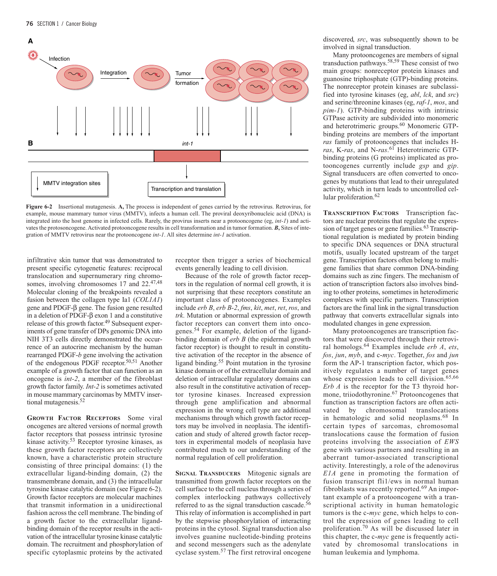<span id="page-3-0"></span>

**Figure 6-2** Insertional mutagenesis. **A,** The process is independent of genes carried by the retrovirus. Retrovirus, for example, mouse mammary tumor virus (MMTV), infects a human cell. The proviral deoxyribonucleic acid (DNA) is integrated into the host genome in infected cells. Rarely, the provirus inserts near a protooncogene (eg, *int-1*) and activates the protosoncogene. Activated protooncogene results in cell transformation and in tumor formation. *B***,** Sites of integration of MMTV retrovirus near the protooncogene *int-1*. All sites determine *int-1* activation.

infiltrative skin tumor that was demonstrated to present specific cytogenetic features: reciprocal translocation and supernumerary ring chromosomes, involving chromosomes 17 and 22.<sup>47,48</sup> Molecular cloning of the breakpoints revealed a fusion between the collagen type Ia1 (*COL1A1*) gene and PDGF-β gene. The fusion gene resulted in a deletion of PDGF-β exon 1 and a constitutive release of this growth factor.<sup>49</sup> Subsequent experiments of gene transfer of DPs genomic DNA into NIH 3T3 cells directly demonstrated the occurrence of an autocrine mechanism by the human rearranged PDGF-*b* gene involving the activation of the endogenous PDGF receptor.50,51 Another example of a growth factor that can function as an oncogene is *int-2*, a member of the fibroblast growth factor family. *Int-2* is sometimes activated in mouse mammary carcinomas by MMTV insertional mutagenesis.<sup>52</sup>

**GROWTH FACTOR RECEPTORS** Some viral oncogenes are altered versions of normal growth factor receptors that possess intrinsic tyrosine kinase activity.<sup>53</sup> Receptor tyrosine kinases, as these growth factor receptors are collectively known, have a characteristic protein structure consisting of three principal domains: (1) the extracellular ligand-binding domain, (2) the transmembrane domain, and (3) the intracellular tyrosine kinase catalytic domain (see Figure 6-2). Growth factor receptors are molecular machines that transmit information in a unidirectional fashion across the cell membrane. The binding of a growth factor to the extracellular ligandbinding domain of the receptor results in the activation of the intracellular tyrosine kinase catalytic domain. The recruitment and phosphorylation of specific cytoplasmic proteins by the activated

receptor then trigger a series of biochemical events generally leading to cell division.

Because of the role of growth factor receptors in the regulation of normal cell growth, it is not surprising that these receptors constitute an important class of protooncogenes. Examples include *erb B*, *erb B-2*, *fms*, *kit*, *met*, *ret*, *ros*, and *trk*. Mutation or abnormal expression of growth factor receptors can convert them into oncogenes.<sup>54</sup> For example, deletion of the ligandbinding domain of *erb B* (the epidermal growth factor receptor) is thought to result in constitutive activation of the receptor in the absence of ligand binding.55 Point mutation in the tyrosine kinase domain or of the extracellular domain and deletion of intracellular regulatory domains can also result in the constitutive activation of receptor tyrosine kinases. Increased expression through gene amplification and abnormal expression in the wrong cell type are additional mechanisms through which growth factor receptors may be involved in neoplasia. The identification and study of altered growth factor receptors in experimental models of neoplasia have contributed much to our understanding of the normal regulation of cell proliferation.

**SIGNAL TRANSDUCERS** Mitogenic signals are transmitted from growth factor receptors on the cell surface to the cell nucleus through a series of complex interlocking pathways collectively referred to as the signal transduction cascade.<sup>56</sup> This relay of information is accomplished in part by the stepwise phosphorylation of interacting proteins in the cytosol. Signal transduction also involves guanine nucleotide-binding proteins and second messengers such as the adenylate cyclase system.<sup>57</sup> The first retroviral oncogene discovered, *src*, was subsequently shown to be involved in signal transduction.

Many protooncogenes are members of signal transduction pathways.58,59 These consist of two main groups: nonreceptor protein kinases and guanosine triphosphate (GTP)-binding proteins. The nonreceptor protein kinases are subclassified into tyrosine kinases (eg, *abl*, *lck*, and *src*) and serine/threonine kinases (eg, *raf-1*, *mos*, and *pim-1*). GTP-binding proteins with intrinsic GTPase activity are subdivided into monomeric and heterotrimeric groups.<sup>60</sup> Monomeric GTPbinding proteins are members of the important *ras* family of protooncogenes that includes H*ras*, K-*ras*, and N-*ras*. <sup>61</sup> Heterotrimeric GTPbinding proteins (G proteins) implicated as protooncogenes currently include *gsp* and *gip*. Signal transducers are often converted to oncogenes by mutations that lead to their unregulated activity, which in turn leads to uncontrolled cellular proliferation.<sup>62</sup>

**TRANSCRIPTION FACTORS** Transcription factors are nuclear proteins that regulate the expression of target genes or gene families.<sup>63</sup> Transcriptional regulation is mediated by protein binding to specific DNA sequences or DNA structural motifs, usually located upstream of the target gene. Transcription factors often belong to multigene families that share common DNA-binding domains such as zinc fingers. The mechanism of action of transcription factors also involves binding to other proteins, sometimes in heterodimeric complexes with specific partners. Transcription factors are the final link in the signal transduction pathway that converts extracellular signals into modulated changes in gene expression.

Many protooncogenes are transcription factors that were discovered through their retroviral homologs.<sup>64</sup> Examples include *erb A*, *ets*, *fos*, *jun*, *myb*, and c-*myc*. Together, *fos* and *jun* form the AP-1 transcription factor, which positively regulates a number of target genes whose expression leads to cell division.<sup>65,66</sup> *Erb A* is the receptor for the T3 thyroid hormone, triiodothyronine.<sup>67</sup> Protooncogenes that function as transcription factors are often activated by chromosomal translocations in hematologic and solid neoplasms.<sup>68</sup> In certain types of sarcomas, chromosomal translocations cause the formation of fusion proteins involving the association of *EWS* gene with various partners and resulting in an aberrant tumor-associated transcriptional activity. Interestingly, a role of the adenovirus *E1A* gene in promoting the formation of fusion transcript fli1/ews in normal human fibroblasts was recently reported.69 An important example of a protooncogene with a transcriptional activity in human hematologic tumors is the c-*myc* gene, which helps to control the expression of genes leading to cell proliferation.<sup>70</sup> As will be discussed later in this chapter, the c-*myc* gene is frequently activated by chromosomal translocations in human leukemia and lymphoma.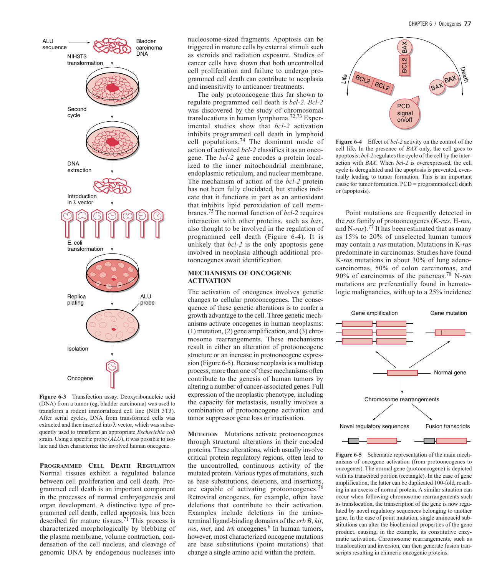

<span id="page-4-0"></span>

**Figure 6-3** Transfection assay. Deoxyribonucleic acid (DNA) from a tumor (eg, bladder carcinoma) was used to transform a rodent immortalized cell line (NIH 3T3). After serial cycles, DNA from transformed cells was extracted and then inserted into λ vector, which was subsequently used to transform an appropriate *Escherichia coli* strain. Using a specific probe (*ALU*), it was possible to isolate and then characterize the involved human oncogene.

**PROGRAMMED CELL DEATH REGULATION** Normal tissues exhibit a regulated balance between cell proliferation and cell death. Programmed cell death is an important component in the processes of normal embryogenesis and organ development. A distinctive type of programmed cell death, called apoptosis, has been described for mature tissues.<sup>71</sup> This process is characterized morphologically by blebbing of the plasma membrane, volume contraction, condensation of the cell nucleus, and cleavage of genomic DNA by endogenous nucleases into nucleosome-sized fragments. Apoptosis can be triggered in mature cells by external stimuli such as steroids and radiation exposure. Studies of cancer cells have shown that both uncontrolled cell proliferation and failure to undergo programmed cell death can contribute to neoplasia and insensitivity to anticancer treatments.

The only protooncogene thus far shown to regulate programmed cell death is *bcl-2*. *Bcl-2* was discovered by the study of chromosomal translocations in human lymphoma.72,73 Experimental studies show that *bcl-2* activation inhibits programmed cell death in lymphoid cell populations.<sup>74</sup> The dominant mode of action of activated *bcl-2* classifies it as an oncogene. The *bcl-2* gene encodes a protein localized to the inner mitochondrial membrane, endoplasmic reticulum, and nuclear membrane. The mechanism of action of the *bcl-2* protein has not been fully elucidated, but studies indicate that it functions in part as an antioxidant that inhibits lipid peroxidation of cell membranes.<sup>75</sup> The normal function of *bcl*-2 requires interaction with other proteins, such as *bax*, also thought to be involved in the regulation of programmed cell death (Figure 6-4). It is unlikely that *bcl-2* is the only apoptosis gene involved in neoplasia although additional protooncogenes await identification.

# **MECHANISMS OF ONCOGENE ACTIVATION**

The activation of oncogenes involves genetic changes to cellular protooncogenes. The consequence of these genetic alterations is to confer a growth advantage to the cell. Three genetic mechanisms activate oncogenes in human neoplasms: (1) mutation, (2) gene amplification, and (3) chromosome rearrangements. These mechanisms result in either an alteration of protooncogene structure or an increase in protooncogene expression (Figure 6-5). Because neoplasia is a multistep process, more than one of these mechanisms often contribute to the genesis of human tumors by altering a number of cancer-associated genes. Full expression of the neoplastic phenotype, including the capacity for metastasis, usually involves a combination of protooncogene activation and tumor suppressor gene loss or inactivation.

**MUTATION** Mutations activate protooncogenes through structural alterations in their encoded proteins. These alterations, which usually involve critical protein regulatory regions, often lead to the uncontrolled, continuous activity of the mutated protein. Various types of mutations, such as base substitutions, deletions, and insertions, are capable of activating protooncogenes.<sup>76</sup> Retroviral oncogenes, for example, often have deletions that contribute to their activation. Examples include deletions in the aminoterminal ligand-binding domains of the *erb B*, *kit*, *ros*, *met*, and *trk* oncogenes.<sup>6</sup> In human tumors, however, most characterized oncogene mutations are base substitutions (point mutations) that change a single amino acid within the protein.



**Figure 6-4** Effect of *bcl-2* activity on the control of the cell life. In the presence of *BAX* only, the cell goes to apoptosis; *bcl-2* regulates the cycle of the cell by the interaction with *BAX*. When *bcl-2* is overexpressed, the cell cycle is deregulated and the apoptosis is prevented, eventually leading to tumor formation. This is an important cause for tumor formation. PCD = programmed cell death or (apoptosis).

Point mutations are frequently detected in the *ras* family of protooncogenes (K-*ras*, H-*ras*, and N-*ras*).<sup>77</sup> It has been estimated that as many as 15% to 20% of unselected human tumors may contain a *ras* mutation. Mutations in K-*ras* predominate in carcinomas. Studies have found K-*ras* mutations in about 30% of lung adenocarcinomas, 50% of colon carcinomas, and 90% of carcinomas of the pancreas.<sup>78</sup> N-*ras* mutations are preferentially found in hematologic malignancies, with up to a 25% incidence



Figure 6-5 Schematic representation of the main mechanisms of oncogene activation (from protooncogenes to oncogenes). The normal gene (protooncogene) is depicted with its transcibed portion (rectangle). In the case of gene amplification, the latter can be duplicated 100-fold, resulting in an excess of normal protein. A similar situation can occur when following chromosome rearrangements such as translocation, the transcription of the gene is now regulated by novel regulatory sequences belonging to another gene. In the case of point mutation, single aminoacid substitutions can alter the biochemical properties of the gene product, causing, in the example, its constitutive enzymatic activation. Chromosome rearrangements, such as translocation and inversion, can then generate fusion transcripts resulting in chimeric oncogenic proteins.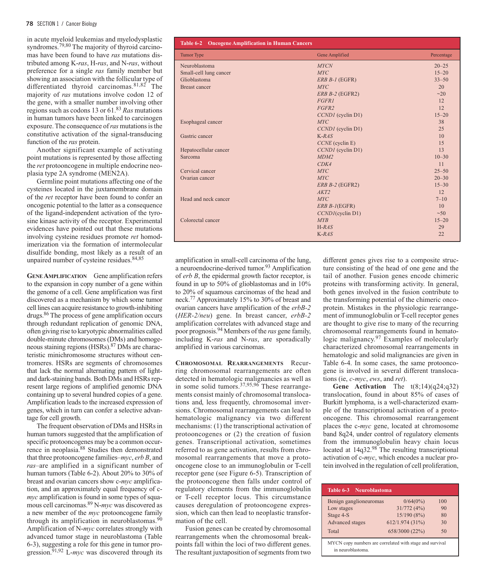### **78** SECTION 1 / Cancer Biology

in acute myeloid leukemias and myelodysplastic syndromes.<sup>79,80</sup> The majority of thyroid carcinomas have been found to have *ras* mutations distributed among K-*ras*, H-*ras*, and N-*ras*, without preference for a single *ras* family member but showing an association with the follicular type of differentiated thyroid carcinomas.  $81,82$  The majority of *ras* mutations involve codon 12 of the gene, with a smaller number involving other regions such as codons 13 or 61.83 *Ras* mutations in human tumors have been linked to carcinogen exposure. The consequence of *ras* mutations is the constitutive activation of the signal-transducing function of the *ras* protein.

Another significant example of activating point mutations is represented by those affecting the *ret* protooncogene in multiple endocrine neoplasia type 2A syndrome (MEN2A).

Germline point mutations affecting one of the cysteines located in the juxtamembrane domain of the *ret* receptor have been found to confer an oncogenic potential to the latter as a consequence of the ligand-independent activation of the tyrosine kinase activity of the receptor. Experimental evidences have pointed out that these mutations involving cysteine residues promote *ret* homodimerization via the formation of intermolecular disulfide bonding, most likely as a result of an unpaired number of cysteine residues.<sup>84,85</sup>

**GENEAMPLIFICATION** Gene amplification refers to the expansion in copy number of a gene within the genome of a cell. Gene amplification was first discovered as a mechanism by which some tumor cell lines can acquire resistance to growth-inhibiting drugs.86 The process of gene amplification occurs through redundant replication of genomic DNA, often giving rise to karyotypic abnormalities called double-minute chromosomes (DMs) and homogeneous staining regions (HSRs).87 DMs are characteristic minichromosome structures without centromeres. HSRs are segments of chromosomes that lack the normal alternating pattern of lightand dark-staining bands. Both DMs and HSRs represent large regions of amplified genomic DNA containing up to several hundred copies of a gene. Amplification leads to the increased expression of genes, which in turn can confer a selective advantage for cell growth.

The frequent observation of DMs and HSRs in human tumors suggested that the amplification of specific protooncogenes may be a common occurrence in neoplasia.88 Studies then demonstrated that three protooncogene families–*myc*, *erb B*, and *ras–*are amplified in a significant number of human tumors (Table 6-2). About 20% to 30% of breast and ovarian cancers show c-*myc* amplification, and an approximately equal frequency of c*myc* amplification is found in some types of squamous cell carcinomas.89 N-*myc* was discovered as a new member of the *myc* protooncogene family through its amplification in neuroblastomas. $90$ Amplification of N-*myc* correlates strongly with advanced tumor stage in neuroblastoma (Table 6-3), suggesting a role for this gene in tumor progression.<sup>91,92</sup> L-*myc* was discovered through its

| Table 6-2 Oncogene Amplification in Human Cancers |                     |            |
|---------------------------------------------------|---------------------|------------|
| Tumor Type                                        | Gene Amplified      | Percentage |
| Neuroblastoma                                     | <b>MYCN</b>         | $20 - 25$  |
| Small-cell lung cancer                            | MYC                 | $15 - 20$  |
| Glioblastoma                                      | $ERB B-I (EGFR)$    | $33 - 50$  |
| <b>Breast cancer</b>                              | MYC                 | 20         |
|                                                   | $ERB B-2$ (EGFR2)   | $\sim$ 20  |
|                                                   | FGFR1               | 12         |
|                                                   | FGFR2               | 12         |
|                                                   | $CCND1$ (cyclin D1) | $15 - 20$  |
| Esophageal cancer                                 | MYC                 | 38         |
|                                                   | $CCND1$ (cyclin D1) | 25         |
| Gastric cancer                                    | $K-RAS$             | 10         |
|                                                   | $CCNE$ (cyclin E)   | 15         |
| Hepatocellular cancer                             | CCND1 (cyclin D1)   | 13         |
| <b>Sarcoma</b>                                    | MDM2                | $10 - 30$  |
|                                                   | CDK4                | 11         |
| Cervical cancer                                   | MYC                 | $25 - 50$  |
| Ovarian cancer                                    | MYC                 | $20 - 30$  |
|                                                   | $ERB B-2$ (EGFR2)   | $15 - 30$  |
|                                                   | AKT2                | 12         |
| Head and neck cancer                              | MYC                 | $7 - 10$   |
|                                                   | $ERB B-I(EGFR)$     | 10         |
|                                                   | CCND1(cyclin D1)    | ~50        |
| Colorectal cancer                                 | MYB                 | $15 - 20$  |
|                                                   | $H-RAS$             | 29         |
|                                                   | $K-RAS$             | 22         |

amplification in small-cell carcinoma of the lung, a neuroendocrine-derived tumor.93 Amplification of *erb B*, the epidermal growth factor receptor, is found in up to 50% of glioblastomas and in 10% to 20% of squamous carcinomas of the head and neck.77 Approximately 15% to 30% of breast and ovarian cancers have amplification of the *erbB-2* (*HER-2/neu*) gene. In breast cancer, *erbB-2* amplification correlates with advanced stage and poor prognosis.94 Members of the *ras* gene family, including K-*ras* and N-*ras*, are sporadically amplified in various carcinomas.

**CHROMOSOMAL REARRANGEMENTS** Recurring chromosomal rearrangements are often detected in hematologic malignancies as well as in some solid tumors.37,95,96 These rearrangements consist mainly of chromosomal translocations and, less frequently, chromosomal inversions. Chromosomal rearrangements can lead to hematologic malignancy via two different mechanisms: (1) the transcriptional activation of protooncogenes or (2) the creation of fusion genes. Transcriptional activation, sometimes referred to as gene activation, results from chromosomal rearrangements that move a protooncogene close to an immunoglobulin or T-cell receptor gene [\(see Figure 6-5\).](#page-4-0) Transcription of the protooncogene then falls under control of regulatory elements from the immunoglobulin or T-cell receptor locus. This circumstance causes deregulation of protooncogene expression, which can then lead to neoplastic transformation of the cell.

Fusion genes can be created by chromosomal rearrangements when the chromosomal breakpoints fall within the loci of two different genes. The resultant juxtaposition of segments from two different genes gives rise to a composite structure consisting of the head of one gene and the tail of another. Fusion genes encode chimeric proteins with transforming activity. In general, both genes involved in the fusion contribute to the transforming potential of the chimeric oncoprotein. Mistakes in the physiologic rearrangement of immunoglobulin or T-cell receptor genes are thought to give rise to many of the recurring chromosomal rearrangements found in hematologic malignancy.<sup>97</sup> Examples of molecularly characterized chromosomal rearrangements in hematologic and solid malignancies are given in [Table 6-4. I](#page-6-0)n some cases, the same protooncogene is involved in several different translocations (ie, *c-myc*, *ews*, and *ret*).

**Gene Activation** The t(8;14)(q24;q32) translocation, found in about 85% of cases of Burkitt lymphoma, is a well-characterized example of the transcriptional activation of a protooncogene. This chromosomal rearrangement places the c-*myc* gene, located at chromosome band 8q24, under control of regulatory elements from the immunoglobulin heavy chain locus located at 14q32.<sup>98</sup> The resulting transcriptional activation of c-*myc*, which encodes a nuclear protein involved in the regulation of cell proliferation,

| Table 6-3 Neuroblastoma                                                       |                 |     |  |  |  |
|-------------------------------------------------------------------------------|-----------------|-----|--|--|--|
| Benign ganglioneuromas                                                        | $0/64(0\%)$     | 100 |  |  |  |
| Low stages                                                                    | 31/772(4%)      | 90  |  |  |  |
| Stage 4-S                                                                     | 15/190 (8%)     | 80  |  |  |  |
| Advanced stages                                                               | 612/1.974 (31%) | 30  |  |  |  |
| Total                                                                         | 658/3000 (22%)  | 50  |  |  |  |
| MYCN copy numbers are correlated with stage and survival<br>in neuroblastoma. |                 |     |  |  |  |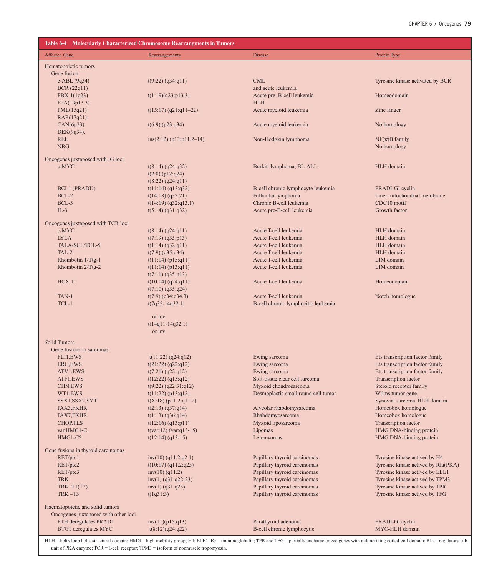<span id="page-6-0"></span>

| Table 6-4 Molecularly Characterized Chromosome Rearrangments in Tumors |                                              |                                                   |                                                   |  |  |
|------------------------------------------------------------------------|----------------------------------------------|---------------------------------------------------|---------------------------------------------------|--|--|
| <b>Affected Gene</b>                                                   | Rearrangements                               | <b>Disease</b>                                    | Protein Type                                      |  |  |
| Hematopoietic tumors                                                   |                                              |                                                   |                                                   |  |  |
| Gene fusion<br>$c-ABL(9q34)$                                           | $t(9:22)$ (q34:q11)                          | <b>CML</b>                                        | Tyrosine kinase activated by BCR                  |  |  |
| BCR (22q11)<br>$PBX-1(1q23)$                                           | t(1:19)(q23:p13.3)                           | and acute leukemia<br>Acute pre-B-cell leukemia   | Homeodomain                                       |  |  |
| E2A(19p13.3).<br>PML(15q21)                                            | $t(15:17)$ (q21:q11-22)                      | <b>HLH</b><br>Acute myeloid leukemia              | Zinc finger                                       |  |  |
| RAR(17q21)                                                             |                                              |                                                   |                                                   |  |  |
| CAN(6p23)<br>DEK(9q34).                                                | $t(6:9)$ (p23:q34)                           | Acute myeloid leukemia                            | No homology                                       |  |  |
| <b>REL</b><br><b>NRG</b>                                               | $ins(2:12)$ (p13:p11.2-14)                   | Non-Hodgkin lymphoma                              | $NF(\kappa)B$ family<br>No homology               |  |  |
| Oncogenes juxtaposed with IG loci                                      |                                              |                                                   |                                                   |  |  |
| c-MYC                                                                  | $t(8:14)$ (q24:q32)                          | Burkitt lymphoma; BL-ALL                          | HLH domain                                        |  |  |
|                                                                        | $t(2:8)$ (p12:q24)                           |                                                   |                                                   |  |  |
| BCL1 (PRADI?)                                                          | $t(8:22)$ (q24:q11)<br>$t(11:14)$ (q13:q32)  | B-cell chronic lymphocyte leukemia                | PRADI-GI cyclin                                   |  |  |
| $BCL-2$                                                                | $t(14:18)$ (q32:21)                          | Follicular lymphoma                               | Inner mitochondrial membrane                      |  |  |
| $BCL-3$                                                                | $t(14:19)$ (q32:q13.1)                       | Chronic B-cell leukemia                           | CDC10 motif                                       |  |  |
| $IL-3$                                                                 | $t(5:14)$ (q31:q32)                          | Acute pre-B-cell leukemia                         | Growth factor                                     |  |  |
| Oncogenes juxtaposed with TCR loci                                     |                                              |                                                   |                                                   |  |  |
| c-MYC                                                                  | $t(8:14)$ (q24:q11)                          | Acute T-cell leukemia                             | HLH domain                                        |  |  |
| <b>LYLA</b>                                                            | $t(7:19)$ (q35:p13)                          | Acute T-cell leukemia                             | HLH domain                                        |  |  |
| TALA/SCL/TCL-5                                                         | $t(1:14)$ (q32:q11)                          | Acute T-cell leukemia                             | HLH domain                                        |  |  |
| TAL-2                                                                  | $t(7:9)$ (q35:q34)                           | Acute T-cell leukemia<br>Acute T-cell leukemia    | HLH domain<br>LIM domain                          |  |  |
| Rhombotin 1/Ttg-1<br>Rhombotin 2/Ttg-2                                 | $t(11:14)$ (p15:q11)<br>$t(11:14)$ (p13:q11) | Acute T-cell leukemia                             | LIM domain                                        |  |  |
|                                                                        | $t(7:11)$ (q35:p13)                          |                                                   |                                                   |  |  |
| $HOX$ 11                                                               | $t(10:14)$ (q24:q11)                         | Acute T-cell leukemia                             | Homeodomain                                       |  |  |
|                                                                        | $t(7:10)$ (q35:q24)                          |                                                   |                                                   |  |  |
| TAN-1                                                                  | $t(7:9)$ (q34:q34.3)                         | Acute T-cell leukemia                             | Notch homologue                                   |  |  |
| TCL-1                                                                  | $t(7q35-14q32.1)$                            | B-cell chronic lymphocitic leukemia               |                                                   |  |  |
|                                                                        | or inv                                       |                                                   |                                                   |  |  |
|                                                                        | $t(14q11-14q32.1)$                           |                                                   |                                                   |  |  |
|                                                                        | or inv                                       |                                                   |                                                   |  |  |
| Solid Tumors                                                           |                                              |                                                   |                                                   |  |  |
| Gene fusions in sarcomas                                               |                                              |                                                   |                                                   |  |  |
| FLI1,EWS                                                               | $t(11:22)$ (q24:q12)                         | Ewing sarcoma                                     | Ets transcription factor family                   |  |  |
| ERG, EWS                                                               | $t(21:22)$ (q22:q12)                         | Ewing sarcoma                                     | Ets transcription factor family                   |  |  |
| ATV1,EWS                                                               | $t(7:21)$ (q22:q12)                          | Ewing sarcoma                                     | Ets transcription factor family                   |  |  |
| ATF1,EWS                                                               | $t(12:22)$ (q13:q12)                         | Soft-tissue clear cell sarcoma                    | Transcription factor                              |  |  |
| CHN, EWS                                                               | $t(9:22)$ (q22 31:q12)                       | Myxoid chondrosarcoma                             | Steroid receptor family                           |  |  |
| WT1,EWS                                                                | $t(11:22)$ (p13:q12)                         | Desmoplastic small round cell tumor               | Wilms tumor gene                                  |  |  |
| SSX1, SSX2, SYT<br>PAX3, FKHR                                          | $t(X:18)$ (p11.2:q11.2)                      | Alveolar rhabdomysarcoma                          | Synovial sarcoma HLH domain<br>Homeobox homologue |  |  |
| PAX7, FKHR                                                             | $t(2:13)$ (q37:q14)<br>$t(1:13)$ (q36:q14)   | Rhabdomyosarcoma                                  | Homeobox homologue                                |  |  |
| <b>CHOPTLS</b>                                                         | $t(12:16)$ (q13:p11)                         | Myxoid liposarcoma                                | Transcription factor                              |  |  |
| var, HMG1-C                                                            | $t(var:12) (var:q13-15)$                     | Lipomas                                           | HMG DNA-binding protein                           |  |  |
| HMG1-C?                                                                | $t(12:14)$ (q13-15)                          | Leiomyomas                                        | HMG DNA-binding protein                           |  |  |
| Gene fusions in thyroid carcinomas                                     |                                              |                                                   |                                                   |  |  |
| RET/ptc1                                                               | $inv(10)$ (q11.2:q2.1)                       | Papillary thyroid carcinomas                      | Tyrosine kinase actived by H4                     |  |  |
| RET/ptc2                                                               | $t(10:17)$ (q11.2:q23)                       | Papillary thyroid carcinomas                      | Tyrosine kinase actived by RIa(PKA)               |  |  |
| RET/ptc3                                                               | $inv(10)$ (q11.2)                            | Papillary thyroid carcinomas                      | Tyrosine kinase actived by ELE1                   |  |  |
| <b>TRK</b>                                                             | $inv(1)$ (q31:q22-23)                        | Papillary thyroid carcinomas                      | Tyrosine kinase actived by TPM3                   |  |  |
| $TRK-T1(T2)$                                                           | $inv(1)$ (q31:q25)                           | Papillary thyroid carcinomas                      | Tyrosine kinase actived by TPR                    |  |  |
| $TRK - T3$                                                             | t(1q31:3)                                    | Papillary thyroid carcinomas                      | Tyrosine kinase actived by TFG                    |  |  |
| Haematopoietic and solid tumors                                        |                                              |                                                   |                                                   |  |  |
| Oncogenes juxtaposed with other loci                                   |                                              |                                                   |                                                   |  |  |
| PTH deregulates PRAD1<br><b>BTG1</b> deregulates MYC                   | inv(11)(p15:q13)<br>t(8:12)(q24:q22)         | Parathyroid adenoma<br>B-cell chronic lymphocytic | PRADI-GI cyclin<br>MYC-HLH domain                 |  |  |
|                                                                        |                                              |                                                   |                                                   |  |  |

HLH = helix loop helix structural domain; HMG = high mobility group; H4; ELE1; IG = immunoglobulin; TPR and TFG = partially uncharacterized genes with a dimerizing coiled-coil domain; RIa = regulatory subunit of PKA enzyme; TCR = T-cell receptor; TPM3 = isoform of nonmuscle tropomyosin.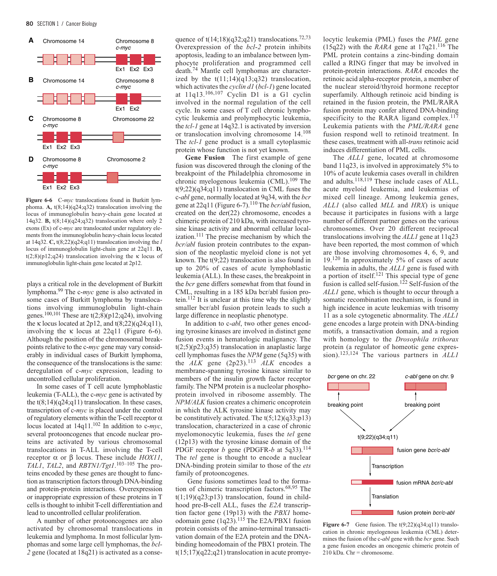

**Figure 6-6** C-*myc* translocations found in Burkitt lymphoma. **A,** t(8;14)(q24;q32) translocation involving the locus of immunoglobulin heavy-chain gene located at 14q32. **B,** t(8;14)(q24;q32) translocation where only 2 exons (Ex) of c-*myc* are translocated under regulatory elements from the immunoglobulin heavy-chain locus located at 14q32. **C,** t(8;22)(q24;q11) translocation involving the *l* locus of immunoglobulin light-chain gene at 22q11. **D,** t(2;8)(p12;q24) translocation involving the  $\kappa$  locus of immunoglobulin light-chain gene located at 2p12.

plays a critical role in the development of Burkitt lymphoma.99 The c-*myc* gene is also activated in some cases of Burkitt lymphoma by translocations involving immunoglobulin light-chain genes.<sup>100,101</sup> These are  $t(2,8)(p12;q24)$ , involving the  $\kappa$  locus located at 2p12, and t(8;22)(q24;q11), involving the  $\kappa$  locus at 22q11 (Figure 6-6). Although the position of the chromosomal breakpoints relative to the c-*myc* gene may vary considerably in individual cases of Burkitt lymphoma, the consequence of the translocations is the same: deregulation of c-*myc* expression, leading to uncontrolled cellular proliferation.

In some cases of T cell acute lymphoblastic leukemia (T-ALL), the c-*myc* gene is activated by the  $t(8;14)(q24;q11)$  translocation. In these cases, transcription of c-*myc* is placed under the control of regulatory elements within the T-cell receptor  $\alpha$ locus located at 14q11.102 In addition to c-*myc*, several protooncogenes that encode nuclear proteins are activated by various chromosomal translocations in T-ALL involving the T-cell receptor α or β locus. These include *HOX11*, *TAL1*, *TAL2*, and *RBTN1/Tgt1*. 103–105 The proteins encoded by these genes are thought to function as transcription factors through DNA-binding and protein-protein interactions. Overexpression or inappropriate expression of these proteins in T cells is thought to inhibit T-cell differentiation and lead to uncontrolled cellular proliferation.

A number of other protooncogenes are also activated by chromosomal translocations in leukemia and lymphoma. In most follicular lymphomas and some large cell lymphomas, the *bcl-2* gene (located at 18q21) is activated as a consequence of  $t(14;18)(q32;q21)$  translocations.<sup>72,73</sup> Overexpression of the *bcl*-*2* protein inhibits apoptosis, leading to an imbalance between lymphocyte proliferation and programmed cell death.<sup>74</sup> Mantle cell lymphomas are characterized by the  $t(11;14)(q13;q32)$  translocation, which activates the *cyclin d1* (*bcl-1*) gene located at  $11q13$ .<sup>106,107</sup> Cyclin D1 is a G1 cyclin involved in the normal regulation of the cell cycle. In some cases of T cell chronic lymphocytic leukemia and prolymphocytic leukemia, the *tcl-1* gene at 14q32.1 is activated by inversion or translocation involving chromosome 14.<sup>108</sup> The *tcl-1* gene product is a small cytoplasmic protein whose function is not yet known.

**Gene Fusion** The first example of gene fusion was discovered through the cloning of the breakpoint of the Philadelphia chromosome in chronic myelogenous leukemia (CML).<sup>109</sup> The  $t(9;22)(q34;q11)$  translocation in CML fuses the c-*abl* gene, normally located at 9q34, with the *bcr* gene at 22q11 (Figure 6-7).110The *bcr/abl* fusion, created on the der(22) chromosome, encodes a chimeric protein of 210 kDa, with increased tyrosine kinase activity and abnormal cellular localization.111 The precise mechanism by which the *bcr/abl* fusion protein contributes to the expansion of the neoplastic myeloid clone is not yet known. The t(9;22) translocation is also found in up to 20% of cases of acute lymphoblastic leukemia (ALL). In these cases, the breakpoint in the *bcr* gene differs somewhat from that found in CML, resulting in a 185 kDa bcr/abl fusion protein.112 It is unclear at this time why the slightly smaller bcr/abl fusion protein leads to such a large difference in neoplastic phenotype.

In addition to c-*abl*, two other genes encoding tyrosine kinases are involved in distinct gene fusion events in hematologic malignancy. The  $t(2;5)(p23;q35)$  translocation in anaplastic large cell lymphomas fuses the *NPM* gene (5q35) with the  $ALK$  gene (2p23).<sup>113</sup>  $ALK$  encodes a membrane-spanning tyrosine kinase similar to members of the insulin growth factor receptor family. The NPM protein is a nucleolar phosphoprotein involved in ribosome assembly. The *NPM/ALK* fusion creates a chimeric oncoprotein in which the ALK tyrosine kinase activity may be constitutively activated. The  $t(5;12)(q33;p13)$ translocation, characterized in a case of chronic myelomonocytic leukemia, fuses the *tel* gene (12p13) with the tyrosine kinase domain of the PDGF receptor *b* gene (PDGFR-*b* at 5q33).<sup>114</sup> The *tel* gene is thought to encode a nuclear DNA-binding protein similar to those of the *ets* family of protooncogenes.

Gene fusions sometimes lead to the formation of chimeric transcription factors.68,95 The  $t(1,19)(q23;p13)$  translocation, found in childhood pre-B-cell ALL, fuses the *E2A* transcription factor gene (19p13) with the *PBX1* homeodomain gene  $(1q23)$ .<sup>115</sup> The E2A/PBX1 fusion protein consists of the amino-terminal transactivation domain of the E2A protein and the DNAbinding homeodomain of the PBX1 protein. The  $t(15;17)(q22;q21)$  translocation in acute promyelocytic leukemia (PML) fuses the *PML* gene  $(15q22)$  with the *RARA* gene at  $17q21$ .<sup>116</sup> The PML protein contains a zinc-binding domain called a RING finger that may be involved in protein-protein interactions. *RARA* encodes the retinoic acid alpha-receptor protein, a member of the nuclear steroid/thyroid hormone receptor superfamily. Although retinoic acid binding is retained in the fusion protein, the PML/RARA fusion protein may confer altered DNA-binding specificity to the RARA ligand complex.<sup>117</sup> Leukemia patients with the *PML/RARA* gene fusion respond well to retinoid treatment. In these cases, treatment with all-*trans* retinoic acid induces differentiation of PML cells.

The *ALL1* gene, located at chromosome band 11q23, is involved in approximately 5% to 10% of acute leukemia cases overall in children and adults.118,119 These include cases of ALL, acute myeloid leukemia, and leukemias of mixed cell lineage. Among leukemia genes, *ALL1* (also called *MLL* and *HRX*) is unique because it participates in fusions with a large number of different partner genes on the various chromosomes. Over 20 different reciprocal translocations involving the *ALL1* gene at 11q23 have been reported, the most common of which are those involving chromosomes 4, 6, 9, and 19.<sup>120</sup> In approximately 5% of cases of acute leukemia in adults, the *ALL1* gene is fused with a portion of itself.<sup>121</sup> This special type of gene fusion is called self-fusion.<sup>122</sup> Self-fusion of the *ALL1* gene, which is thought to occur through a somatic recombination mechanism, is found in high incidence in acute leukemias with trisomy 11 as a sole cytogenetic abnormality. The *ALL1* gene encodes a large protein with DNA-binding motifs, a transactivation domain, and a region with homology to the *Drosophila trithorax* protein (a regulator of homeotic gene expression).123,124 The various partners in *ALL1*



**Figure 6-7** Gene fusion. The  $t(9:22)(q34:q11)$  translocation in chronic myelogenous leukemia (CML) determines the fusion of the c-*abl* gene with the *bcr* gene. Such a gene fusion encodes an oncogenic chimeric protein of 210 kDa. Chr = chromosome.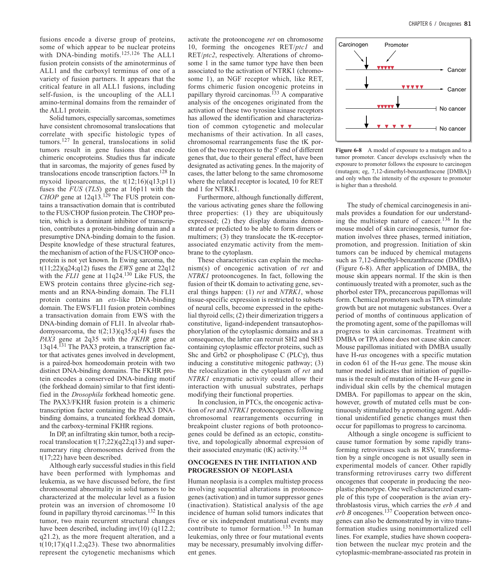fusions encode a diverse group of proteins, some of which appear to be nuclear proteins with DNA-binding motifs.<sup>125,126</sup> The ALL1 fusion protein consists of the aminoterminus of ALL1 and the carboxyl terminus of one of a variety of fusion partners. It appears that the critical feature in all ALL1 fusions, including self-fusion, is the uncoupling of the ALL1 amino-terminal domains from the remainder of the ALL1 protein.

Solid tumors, especially sarcomas, sometimes have consistent chromosomal translocations that correlate with specific histologic types of tumors.<sup>127</sup> In general, translocations in solid tumors result in gene fusions that encode chimeric oncoproteins. Studies thus far indicate that in sarcomas, the majority of genes fused by translocations encode transcription factors.128 In myxoid liposarcomas, the t(12;16)(q13;p11) fuses the *FUS* (*TLS*) gene at 16p11 with the *CHOP* gene at 12q13.<sup>129</sup> The FUS protein contains a transactivation domain that is contributed to the FUS/CHOP fusion protein. The CHOP protein, which is a dominant inhibitor of transcription, contributes a protein-binding domain and a presumptive DNA-binding domain to the fusion. Despite knowledge of these structural features, the mechanism of action of the FUS/CHOP oncoprotein is not yet known. In Ewing sarcoma, the t(11;22)(q24;q12) fuses the *EWS* gene at 22q12 with the *FLI1* gene at 11q24.130 Like FUS, the EWS protein contains three glycine-rich segments and an RNA-binding domain. The FLI1 protein contains an *ets*-like DNA-binding domain. The EWS/FLI1 fusion protein combines a transactivation domain from EWS with the DNA-binding domain of FLI1. In alveolar rhabdomyosarcoma, the  $t(2;13)(q35;q14)$  fuses the *PAX3* gene at 2q35 with the *FKHR* gene at  $13q14$ .<sup>131</sup> The PAX3 protein, a transcription factor that activates genes involved in development, is a paired-box homeodomain protein with two distinct DNA-binding domains. The FKHR protein encodes a conserved DNA-binding motif (the forkhead domain) similar to that first identified in the *Drosophila* forkhead homeotic gene. The PAX3/FKHR fusion protein is a chimeric transcription factor containing the PAX3 DNAbinding domains, a truncated forkhead domain, and the carboxy-terminal FKHR regions.

In DP, an infiltrating skin tumor, both a reciprocal translocation  $t(17;22)(q22;q13)$  and supernumerary ring chromosomes derived from the t(17;22) have been described.

Although early successful studies in this field have been performed with lymphomas and leukemia, as we have discussed before, the first chromosomal abnormality in solid tumors to be characterized at the molecular level as a fusion protein was an inversion of chromosome 10 found in papillary thyroid carcinomas.<sup>132</sup> In this tumor, two main recurrent structural changes have been described, including inv(10) (q112.2; q21.2), as the more frequent alteration, and a  $t(10;17)(q11.2;q23)$ . These two abnormalities represent the cytogenetic mechanisms which activate the protooncogene *ret* on chromosome 10, forming the oncogenes RET/*ptc1* and RET/*ptc2*, respectively. Alterations of chromosome 1 in the same tumor type have then been associated to the activation of NTRK1 (chromosome 1), an NGF receptor which, like RET, forms chimeric fusion oncogenic proteins in papillary thyroid carcinomas.133 A comparative analysis of the oncogenes originated from the activation of these two tyrosine kinase receptors has allowed the identification and characterization of common cytogenetic and molecular mechanisms of their activation. In all cases, chromosomal rearrangements fuse the tK portion of the two receptors to the 5' end of different genes that, due to their general effect, have been designated as activating genes. In the majority of cases, the latter belong to the same chromosome where the related receptor is located, 10 for RET and 1 for NTRK1.

Furthermore, although functionally different, the various activating genes share the following three properties: (1) they are ubiquitously expressed; (2) they display domains demonstrated or predicted to be able to form dimers or multimers; (3) they translocate the tK-receptorassociated enzymatic activity from the membrane to the cytoplasm.

These characteristics can explain the mechanism(s) of oncogenic activation of *ret* and *NTRK1* protooncogenes. In fact, following the fusion of their tK domain to activating gene, several things happen: (1) *ret* and *NTRK1*, whose tissue-specific expression is restricted to subsets of neural cells, become expressed in the epithelial thyroid cells; (2) their dimerization triggers a constitutive, ligand-independent transautophosphorylation of the cytoplasmic domains and as a consequence, the latter can recruit SH2 and SH3 containing cytoplasmic effector proteins, such as Shc and Grb2 or phospholipase C (PLC $\gamma$ ), thus inducing a constitutive mitogenic pathway; (3) the relocalization in the cytoplasm of *ret* and *NTRK1* enzymatic activity could allow their interaction with unusual substrates, perhaps modifying their functional properties.

In conclusion, in PTCs, the oncogenic activation of *ret* and *NTRK1* protooncogenes following chromosomal rearrangements occurring in breakpoint cluster regions of both protooncogenes could be defined as an ectopic, constitutive, and topologically abnormal expression of their associated enzymatic  $(tK)$  activity.<sup>134</sup>

## **ONCOGENES IN THE INITIATION AND PROGRESSION OF NEOPLASIA**

Human neoplasia is a complex multistep process involving sequential alterations in protooncogenes (activation) and in tumor suppressor genes (inactivation). Statistical analysis of the age incidence of human solid tumors indicates that five or six independent mutational events may contribute to tumor formation.<sup>135</sup> In human leukemias, only three or four mutational events may be necessary, presumably involving different genes.



**Figure 6-8** A model of exposure to a mutagen and to a tumor promoter. Cancer develops exclusively when the exposure to promoter follows the exposure to carcinogen (mutagen; eg, 7,12-dimethyl-benzanthracene [DMBA]) and only when the intensity of the exposure to promoter is higher than a threshold.

The study of chemical carcinogenesis in animals provides a foundation for our understanding the multistep nature of cancer.<sup>136</sup> In the mouse model of skin carcinogenesis, tumor formation involves three phases, termed initiation, promotion, and progression. Initiation of skin tumors can be induced by chemical mutagens such as 7,12-dimethyl-benzanthracene (DMBA) (Figure 6-8). After application of DMBA, the mouse skin appears normal. If the skin is then continuously treated with a promoter, such as the phorbol ester TPA, precancerous papillomas will form. Chemical promoters such as TPA stimulate growth but are not mutagenic substances. Over a period of months of continuous application of the promoting agent, some of the papillomas will progress to skin carcinomas. Treatment with DMBA or TPA alone does not cause skin cancer. Mouse papillomas initiated with DMBA usually have H-*ras* oncogenes with a specific mutation in codon 61 of the H-*ras* gene. The mouse skin tumor model indicates that initiation of papillomas is the result of mutation of the H-*ras* gene in individual skin cells by the chemical mutagen DMBA. For papillomas to appear on the skin, however, growth of mutated cells must be continuously stimulated by a promoting agent. Additional unidentified genetic changes must then occur for papillomas to progress to carcinoma.

Although a single oncogene is sufficient to cause tumor formation by some rapidly transforming retroviruses such as RSV, transformation by a single oncogene is not usually seen in experimental models of cancer. Other rapidly transforming retroviruses carry two different oncogenes that cooperate in producing the neoplastic phenotype. One well-characterized example of this type of cooperation is the avian erythroblastosis virus, which carries the *erb A* and *erb B* oncogenes.<sup>137</sup> Cooperation between oncogenes can also be demonstrated by in vitro transformation studies using nonimmortalized cell lines. For example, studies have shown cooperation between the nuclear myc protein and the cytoplasmic-membrane-associated ras protein in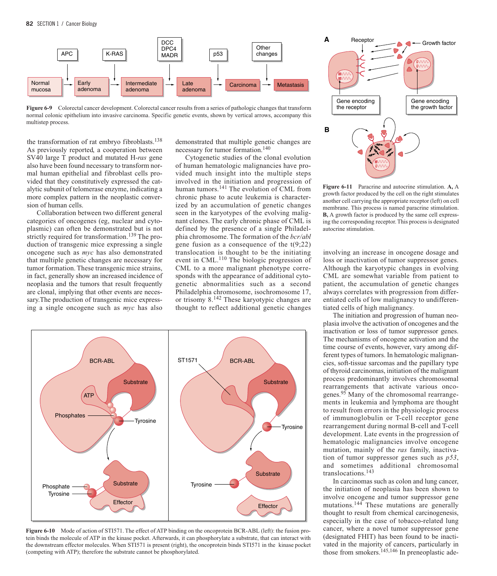<span id="page-9-0"></span>

**Figure 6-9** Colorectal cancer development. Colorectal cancer results from a series of pathologic changes that transform normal colonic epithelium into invasive carcinoma. Specific genetic events, shown by vertical arrows, accompany this multistep process.

the transformation of rat embryo fibroblasts.138 As previously reported, a cooperation between SV40 large T product and mutated H-*ras* gene also have been found necessary to transform normal human epithelial and fibroblast cells provided that they constitutively expressed the catalytic subunit of telomerase enzyme, indicating a more complex pattern in the neoplastic conversion of human cells.

Collaboration between two different general categories of oncogenes (eg, nuclear and cytoplasmic) can often be demonstrated but is not strictly required for transformation.<sup>139</sup> The production of transgenic mice expressing a single oncogene such as *myc* has also demonstrated that multiple genetic changes are necessary for tumor formation. These transgenic mice strains, in fact, generally show an increased incidence of neoplasia and the tumors that result frequently are clonal, implying that other events are necessary.The production of transgenic mice expressing a single oncogene such as *myc* has also

demonstrated that multiple genetic changes are necessary for tumor formation.140

Cytogenetic studies of the clonal evolution of human hematologic malignancies have provided much insight into the multiple steps involved in the initiation and progression of human tumors.<sup>141</sup> The evolution of CML from chronic phase to acute leukemia is characterized by an accumulation of genetic changes seen in the karyotypes of the evolving malignant clones. The early chronic phase of CML is defined by the presence of a single Philadelphia chromosome. The formation of the *bcr/abl* gene fusion as a consequence of the t(9;22) translocation is thought to be the initiating event in CML.<sup>110</sup> The biologic progression of CML to a more malignant phenotype corresponds with the appearance of additional cytogenetic abnormalities such as a second Philadelphia chromosome, isochromosome 17, or trisomy 8.<sup>142</sup> These karyotypic changes are thought to reflect additional genetic changes



**Figure 6-10** Mode of action of STI571. The effect of ATP binding on the oncoprotein BCR-ABL (left): the fusion protein binds the molecule of ATP in the kinase pocket. Afterwards, it can phosphorylate a substrate, that can interact with the downstream effector molecules. When STI571 is present (right), the oncoprotein binds STI571 in the kinase pocket (competing with ATP); therefore the substrate cannot be phosphorylated.



**Figure 6-11** Paracrine and autocrine stimulation. **A,** A growth factor produced by the cell on the right stimulates another cell carrying the appropriate receptor (left) on cell membrane. This process is named paracrine stimulation. **B,** A growth factor is produced by the same cell expressing the corresponding receptor. This process is designated autocrine stimulation.

involving an increase in oncogene dosage and loss or inactivation of tumor suppressor genes. Although the karyotypic changes in evolving CML are somewhat variable from patient to patient, the accumulation of genetic changes always correlates with progression from differentiated cells of low malignancy to undifferentiated cells of high malignancy.

The initiation and progression of human neoplasia involve the activation of oncogenes and the inactivation or loss of tumor suppressor genes. The mechanisms of oncogene activation and the time course of events, however, vary among different types of tumors. In hematologic malignancies, soft-tissue sarcomas and the papillary type of thyroid carcinomas, initiation of the malignant process predominantly involves chromosomal rearrangements that activate various oncogenes. $95$  Many of the chromosomal rearrangements in leukemia and lymphoma are thought to result from errors in the physiologic process of immunoglobulin or T-cell receptor gene rearrangement during normal B-cell and T-cell development. Late events in the progression of hematologic malignancies involve oncogene mutation, mainly of the *ras* family, inactivation of tumor suppressor genes such as *p53*, and sometimes additional chromosomal translocations.<sup>143</sup>

In carcinomas such as colon and lung cancer, the initiation of neoplasia has been shown to involve oncogene and tumor suppressor gene mutations.<sup>144</sup> These mutations are generally thought to result from chemical carcinogenesis, especially in the case of tobacco-related lung cancer, where a novel tumor suppressor gene (designated FHIT) has been found to be inactivated in the majority of cancers, particularly in those from smokers.<sup>145,146</sup> In preneoplastic ade-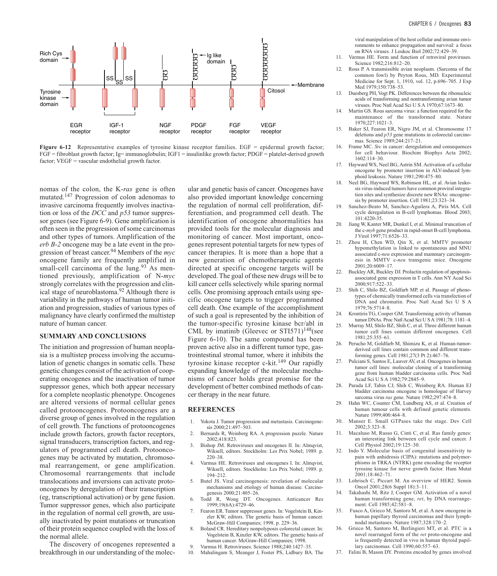

**Figure 6-12** Representative examples of tyrosine kinase receptor families. EGF = epidermal growth factor; FGF = fibroblast growth factor; Ig= immunoglobulin; IGF1 = insulinlike growth factor; PDGF = platelet-derived growth factor; VEGF = vascular endothelial growth factor.

nomas of the colon, the K-*ras* gene is often mutated.<sup>147</sup> Progression of colon adenomas to invasive carcinoma frequently involves inactivation or loss of the *DCC* and *p53* tumor suppressor genes [\(see Figure 6-9\). G](#page-9-0)ene amplification is often seen in the progression of some carcinomas and other types of tumors. Amplification of the *erb B-2* oncogene may be a late event in the progression of breast cancer.94 Members of the *myc* oncogene family are frequently amplified in small-cell carcinoma of the lung. $93$  As mentioned previously, amplification of N-*myc* strongly correlates with the progression and clinical stage of neuroblastoma.92 Although there is variability in the pathways of human tumor initiation and progression, studies of various types of malignancy have clearly confirmed the multistep nature of human cancer.

#### **SUMMARY AND CONCLUSIONS**

The initiation and progression of human neoplasia is a multistep process involving the accumulation of genetic changes in somatic cells. These genetic changes consist of the activation of cooperating oncogenes and the inactivation of tumor suppressor genes, which both appear necessary for a complete neoplastic phenotype. Oncogenes are altered versions of normal cellular genes called protooncogenes. Protooncogenes are a diverse group of genes involved in the regulation of cell growth. The functions of protooncogenes include growth factors, growth factor receptors, signal transducers, transcription factors, and regulators of programmed cell death. Protooncogenes may be activated by mutation, chromosomal rearrangement, or gene amplification. Chromosomal rearrangements that include translocations and inversions can activate protooncogenes by deregulation of their transcription (eg, transcriptional activation) or by gene fusion. Tumor suppressor genes, which also participate in the regulation of normal cell growth, are usually inactivated by point mutations or truncation of their protein sequence coupled with the loss of the normal allele.

The discovery of oncogenes represented a breakthrough in our understanding of the molecular and genetic basis of cancer. Oncogenes have also provided important knowledge concerning the regulation of normal cell proliferation, differentiation, and programmed cell death. The identification of oncogene abnormalities has provided tools for the molecular diagnosis and monitoring of cancer. Most important, oncogenes represent potential targets for new types of cancer therapies. It is more than a hope that a new generation of chemotherapeutic agents directed at specific oncogene targets will be developed. The goal of these new drugs will be to kill cancer cells selectively while sparing normal cells. One promising approach entails using specific oncogene targets to trigger programmed cell death. One example of the accomplishment of such a goal is represented by the inhibition of the tumor-specific tyrosine kinase bcr/abl in CML by imatinib (Gleevec or  $STI571$ )<sup>148</sup>(see [Figure 6-10\).](#page-9-0) The same compound has been proven active also in a different tumor type, gastrointestinal stromal tumor, where it inhibits the tyrosine kinase receptor c-kit.<sup>149</sup> Our rapidly expanding knowledge of the molecular mechanisms of cancer holds great promise for the development of better combined methods of cancer therapy in the near future.

#### **REFERENCES**

- 1. Yokota J. Tumor progression and metastasis. Carcinogenesis 2000;21:497–503.
- 2. Bernards R, Weinberg RA. A progression puzzle. Nature 2002;418:823.
- 3. Bishop JM. Retroviruses and oncogenes II. In: Almqvist, Wiksell, editors. Stockholm: Les Prix Nobel; 1989. p. 220–38.
- 4. Varmus HE. Retroviruses and oncogenes I. In: Almqvist, Wiksell, editors. Stockholm: Les Prix Nobel; 1989. p. 194–212.
- 5. Butel JS. Viral carcinogenesis: revelation of molecular mechanisms and etiology of human disease. Carcinogenesis 2000;21:405–26.
- 6. Todd R, Wong DT. Oncogenes. Anticancer Res 1999;19(6A):4729–46.
- 7. Fearon ER. Tumor suppressor genes. In: Vogelstein B, Kinzler KW, editors. The genetic basis of human cancer. McGraw-Hill Companies; 1998. p. 229–36.
- 8. Boland CR. Hereditary nonpolyposis colorectal cancer. In: Vogelstein B, Kinzler KW, editors. The genetic basis of human cancer. McGraw-Hill Companies; 1998.
- 9. Varmus H. Retroviruses. Science 1988;240:1427–35.<br>10. Mahalingam S. Meanger J. Foster PS. Lidbury BA
- Mahalingam S, Meanger J, Foster PS, Lidbury BA. The

viral manipulation of the host cellular and immune environments to enhance propagation and survival: a focus on RNA viruses. J Leukoc Biol 2002;72:429–39.

- 11. Varmus HE. Form and function of retroviral proviruses. Science 1982;216:812–20.
- 12. Rous P. A transmissible avian neoplasm. (Sarcoma of the common fowl) by Peyton Rous, MD. Experimental Medicine for Sept. 1, 1910, vol. 12, p.696–705. J Exp Med 1979:150:738–53.
- 13. Duesberg PH, Vogt PK. Differences between the ribonucleic acids of transforming and nontransforming avian tumor viruses. Proc Natl Acad Sci U S A 1970;67:1673–80.
- 14. Martin GS. Rous sarcoma virus: a function required for the maintenance of the transformed state. Nature 1970;227:1021–3.
- 15. Baker SJ, Fearon ER, Nigro JM, et al. Chromosome 17 deletions and *p53* gene mutations in colorectal carcinomas. Science 1989;244:217–21.
- 16. Frame MC. *Src* in cancer: deregulation and consequences for cell behaviour. Biochim Biophys Acta 2002; 1602:114–30.
- 17. Hayward WS, Neel BG, Astrin SM. Activation of a cellular oncogene by promoter insertion in ALV-induced lymphoid leukosis. Nature 1981;290:475–80.
- 18. Neel BG, Hayward WS, Robinson HL, et al. Avian leukosis virus-induced tumors have common proviral integration sites and synthesize discrete new RNAs: oncogenesis by promoter insertion. Cell 1981;23:323–34.
- 19. Sanchez-Beato M, Sanchez-Aguilera A, Piris MA. Cell cycle deregulation in B-cell lymphomas. Blood 2003; 101:4220-35.
- 20. Jiang W, Kanter MR, Dunkel I, et al. Minimal truncation of the c-*myb* gene product in rapid-onset B-cell lymphoma. J Virol 1997;71:6526–33.
- 21. Zhou H, Chen WD, Qin X, et al. MMTV promoter hypomethylation is linked to spontaneous and MNU associated c-*neu* expression and mammary carcinogenesis in MMTV c-*neu* transgenic mice. Oncogene 2001;20:6009–17.
- 22. Buckley AR, Buckley DJ. Prolactin regulation of apoptosisassociated gene expression in T cells. Ann NY Acad Sci 2000;917:522–33.
- 23. Shih C, Shilo BZ, Goldfarb MP, et al. Passage of phenotypes of chemically transformed cells via transfection of DNA and chromatin. Proc Natl Acad Sci U S A 1979;76:5714–8.
- 24. Krontiris TG, Cooper GM. Transforming activity of human tumor DNAs. Proc Natl Acad Sci U S A 1981;78: 1181–4.
- 25. Murray MJ, Shilo BZ, Shih C, et al. Three different human tumor cell lines contain different oncogenes. Cell 1981;25:355–61.
- 26. Perucho M, Goldfarb M, Shimizu K, et al. Human-tumorderived cell lines contain common and different transforming genes. Cell 1981;27(3 Pt 2):467–76.
- 27. Pulciani S, Santos E, Lauver AV, et al. Oncogenes in human tumor cell lines: molecular cloning of a transforming gene from human bladder carcinoma cells. Proc Natl Acad Sci U S A 1982;79:2845–9.
- 28. Parada LF, Tabin CJ, Shih C, Weinberg RA. Human EJ bladder carcinoma oncogene is homologue of Harvey sarcoma virus *ras* gene. Nature 1982;297:474–8.
- 29. Hahn WC, Counter CM, Lundberg AS, et al. Creation of human tumour cells with defined genetic elements. Nature 1999;400:464–8.
- 30. Manser E. Small GTPases take the stage. Dev Cell 2002;3:323–8.
- 31. Macaluso M, Russo G, Cinti C, et al. Ras family genes: an interesting link between cell cycle and cancer. J Cell Physiol 2002;19:125–30.
- 32. Indo Y. Molecular basis of congenital insensitivity to pain with anhidrosis (CIPA): mutations and polymorphisms in TRKA (NTRK) gene encoding the receptor tyrosine kinase for nerve growth factor. Hum Mutat 2001;18:462–71.
- 33. Lohrisch C, Piccart M. An overview of HER2. Semin Oncol 2001;28(6 Suppl 18):3–11.
- 34. Takahashi M, Ritz J, Cooper GM. Activation of a novel human transforming gene, *ret*, by DNA rearrangement. Cell 1985;42:581–8.
- 35. Fusco A, Grieco M, Santoro M, et al. A new oncogene in human papillary thyroid carcinomas and their lymphnodal metastases. Nature 1987;328:170–2.
- 36. Grieco M, Santoro M, Berlingieri MT, et al. PTC is a novel rearranged form of the *ret* proto-oncogene and is frequently detected in vivo in human thyroid papillary carcinomas. Cell 1990;60:557–63.
- 37. Falini B, Mason DY. Proteins encoded by genes involved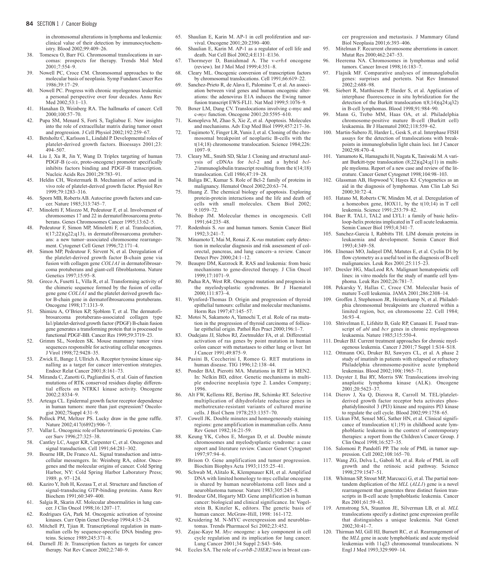#### **84** SECTION 1 / Cancer Biology

in chromosomal alterations in lymphoma and leukemia: clinical value of their detection by immunocytochemistry. Blood 2002;99:409–26.

- 38. Tomescu O, Barr FG. Chromosomal translocations in sarcomas: prospects for therapy. Trends Mol Med 2001;7:554–9.
- 39. Nowell PC, Croce CM. Chromosomal approaches to the molecular basis of neoplasia. Symp Fundam Cancer Res 1986;39:17–29.
- 40. Nowell PC. Progress with chronic myelogenous leukemia: a personal perspective over four decades. Annu Rev Med  $2002:53:1-13$ .
- 41. Hanahan D, Weinberg RA. The hallmarks of cancer. Cell 2000;100:57–70.
- 42. Pupa SM, Menard S, Forti S, Tagliabue E. New insights into the role of extracellular matrix during tumor onset and progression. J Cell Physiol 2002;192:259–67.
- 43. Betsholtz C, Karlsson L, Lindahl P. Developmental roles of platelet-derived growth factors. Bioessays 2001;23: 494–507.
- 44. Liu J, Xu R, Jin Y, Wang D. Triplex targeting of human PDGF-B (c-*sis*, proto-oncogene) promoter specifically inhibits factors binding and PDGF-B transcription. Nucleic Acids Res 2001;29:783–91.
- 45. Heldin CH, Westermark B. Mechanism of action and in vivo role of platelet-derived growth factor. Physiol Rev 1999;79:1283–316.
- 46. Sporn MB, Roberts AB. Autocrine growth factors and cancer. Nature 1985;313:745–7.
- 47. Minoletti F, Miozzo M, Pedeutour F, et al. Involvement of chromosomes 17 and 22 in dermatofibrosarcoma protuberans. Genes Chromosomes Cancer 1995;13:62–5.
- 48. Pedeutour F, Simon MP, Minoletti F, et al. Translocation, t(17;22)(q22;q13), in dermatofibrosarcoma protuberans: a new tumor–associated chromosome rearrangement. Cytogenet Cell Genet 1996;72:171–4.
- 49. Simon MP, Pedeutour F, Sirvent N, et al. Deregulation of the platelet-derived growth factor B-chain gene via fusion with collagen gene *COL1A1* in dermatofibrosarcoma protuberans and giant-cell fibroblastoma. Nature Genetics 1997;15:95–8.
- 50. Greco A, Fusetti L, Villa R, et al. Transforming activity of the chimeric sequence formed by the fusion of collagene gene *COL1A1* and the platelet derived growth factor B-chain gene in dermatofibrosarcoma protuberans. Oncogene 1998;17:1313–9.
- 51. Shimizu A, O'Brien KP, Sjoblom T, et al. The dermatofibrosarcoma protuberans-associated collagen type Ia1/platelet-derived growth factor (PDGF) B-chain fusion gene generates a transforming protein that is processed to functional PDGF-BB. Cancer Res 1999;59:3719–23.
- 52. Grimm SL, Nordeen SK. Mouse mammary tumor virus sequences responsible for activating cellular oncogenes. J Virol 1998;72:9428–35.
- 53. Zwick E, Bange J, Ullrich A. Receptor tyrosine kinase signalling as a target for cancer intervention strategies. Endocr Relat Cancer 2001;8:161–73.
- 54. Miranda C, Zanotti G, Pagliardini S, et al. Gain of function mutations of RTK conserved residues display differential effects on NTRK1 kinase activity. Oncogene 2002;2:8334–9.
- 55. Arteaga CL. Epidermal growth factor receptor dependence in human tumors: more than just expression? Oncologist 2002;7Suppl 4:31–9.
- 56. Pollock PM, Meltzer PS. Lucky draw in the gene raffle. Nature 2002;417(6892):906–7.
- 57. Vallar L. Oncogenic role of heterotrimeric G proteins. Cancer Surv 1996;27:325–38.
- 58. Cantley LC, Auger KR, Carpenter C, et al. Oncogenes and signal transduction. Cell 1991;64:281–302.
- 59. Bourne HR, De Franco AL. Signal transduction and intracellular messengers. In: Weinberg RA, editor. Oncogenes and the molecular origins of cancer. Cold Spring Harbor, NY: Cold Spring Harbor Laboratory Press; 1989. p. 97–124.
- 60. Kaziro Y, Itoh H, Kozasa T, et al. Structure and function of signal-transducing GTP-binding proteins. Annu Rev Biochem 1991;60:349–400.
- 61. Salgia R, Skarin AT. Molecular abnormalities in lung cancer. J Clin Oncol 1998;16:1207–17.
- 62. Rodrigues GA, Park M. Oncogenic activation of tyrosine kinases. Curr Opin Genet Develop 1994;4:15–24.
- Mitchell PJ, Tjian R. Transcriptional regulation in mammalian cells by sequence-specific DNA binding proteins. Science 1989;245:371–8.
- 64. Darnell JE Jr. Transcription factors as targets for cancer therapy. Nat Rev Cancer 2002;2:740–9.
- 65. Shaulian E, Karin M. AP-1 in cell proliferation and survival. Oncogene 2001;20:2390–400.
- 66. Shaulian E, Karin M. AP-1 as a regulator of cell life and death. Nat Cell Biol 2002;4:E131–E136.
- 67. Thormeyer D, Baniahmad A. The v-*erbA* oncogene (review). Int J Mol Med 1999;4:351–8.
- 68. Cleary ML. Oncogenic conversion of transcription factors by chromosomal translocations. Cell 1991;66:619–22.
- 69. Sanchez-Prieto R, de Alava E, Palomino T, et al. An association between viral genes and human oncogenic alterations: the adenovirus E1A induces the Ewing tumor fusion transcript EWS-FLI1. Nat Med 1999;5:1076–9.
- 70. Boxer LM, Dang CV. Translocations involving c-myc and c-*myc* function. Oncogene 2001;20:5595–610.
- 71. Konopleva M, Zhao S, Xie Z, et al. Apoptosis. Molecules and mechanisms. Adv Exp Med Biol 1999;457:217–36.
- Tsujimoto Y, Finger LR, Yunis J, et al. Cloning of the chromosomal breakpoint of neoplastic B-cells with the t(14;18) chromosome translocation. Science 1984;226: 1097–9.
- 73. Cleary ML, Smith SD, Sklar J. Cloning and structural analysis of cDNAs for *bcl*-2 and a hybrid *bcl*-*2*/immunoglobulin transcript resulting from the t(14;18) translocation. Cell 1986;47:19–28.
- 74. Baliga BC, Kumar S. Role of Bcl-2 family of proteins in malignancy. Hematol Oncol 2002;20:63–74.
- 75. Huang Z. The chemical biology of apoptosis. Exploring protein-protein interactions and the life and death of cells with small molecules. Chem Biol 2002; 9:1059–72.
- 76. Bishop JM. Molecular themes in oncogenesis. Cell 1991;64:235–48.
- 77. Rodenhuis S. *ras* and human tumors. Semin Cancer Biol 1992;3:241–7.
- 78. Minamoto T, Mai M, Ronai Z. K-*ras* mutation: early detection in molecular diagnosis and risk assessment of colorectal, pancreas, and lung cancers–a review. Cancer Detect Prev 2000;24:1–12.
- 79. Beaupre DM, Kurzrock R. RAS and leukemia: from basic mechanisms to gene-directed therapy. J Clin Oncol  $1999 \cdot 17 \cdot 1071 - 9$
- 80. Padua RA, West RR. Oncogene mutation and prognosis in the myelodysplastic syndromes. Br J Haematol 2000;111:873–4.
- 81. Wynford-Thomas D. Origin and progression of thyroid epithelial tumours: cellular and molecular mechanisms. Horm Res 1997;47:145–57.
- 82. Motoi N, Sakamoto A, Yamochi T, et al. Role of ras mutation in the progression of thyroid carcinoma of follicular epithelial origin. Pathol Res Pract 2000;196:1–7.
- 83. Oudejans JJ, Slebos RJ, Zoetmulder FA, et al. Differential activation of ras genes by point mutation in human colon cancer with metastases to either lung or liver. Int J Cancer 1991;49:875–9.
- 84. Pasini B, Ceccherini I, Romeo G. RET mutations in human disease. TIG 1996;12:138–44.
- Ponder BAJ, Pierotti MA. Mutations in RET in MEN2. In: Nelkin BD, editor. Genetic mechanisms in multiple endocrine neoplasia type 2. Landes Company; 1996.
- 86. Alt FW, Kellems RE, Bertino JR, Schimke RT. Selective multiplication of dihydrofolate reductase genes in methotrexate-resistant variants of cultured murine cells. J Biol Chem 1978;253:1357–70.
- 87. Cowell JK. Double minutes and homogeneously staining regions: gene amplification in mammalian cells. Annu Rev Genet 1982;16:21-59.
- 88. Keung YK, Cobos E, Morgan D, et al. Double minute chromosomes and myelodysplastic syndrome: a case report and literature review. Cancer Genet Cytogenet 1997;97:94–6.
- 89. Brison O. Gene amplification and tumor progression. Biochim Biophys Acta 1993;1155:25–41.
- Schwab M, Alitalo K, Klempnauer KH, et al. Amplified DNA with limited homology to myc cellular oncogene is shared by human neuroblastoma cell lines and a neuroblastoma tumour. Nature 1983;305:245–8.
- 91. Brodeur GM, Hogarty MD. Gene amplification in human cancer: biological and clinical significance. In: Vogelstein B, Kinzler K, editors. The genetic basis of human cancer. McGraw-Hill, 1998: 161-172.
- Kruidering M. N-MYC overexpression and neuroblastomas. Trends Pharmacol Sci 2002;23:452.
- 93. Zajac-Kaye M. *Myc* oncogene: a key component in cell cycle regulation and its implication for lung cancer. Lung Cancer 2001;34 Suppl 2:S43–S46.
- 94. Eccles SA. The role of c-*erbB*-*2*/*HER2*/*neu* in breast can-

cer progression and metastasis. J Mammary Gland Biol Neoplasia 2001;6:393–406.

- 95. Mitelman F. Recurrent chromosome aberrations in cancer. Mutat Res 2000;462:247–53.
- 96. Heerema NA. Chromosomes in lymphomas and solid tumors. Cancer Invest 1998;16:183–7.
- 97. Flajnik MF. Comparative analyses of immunoglobulin genes: surprises and portents. Nat Rev Immunol 2002;2:688–98.
- 98. Siebert R, Matthiesen P, Harder S, et al. Application of interphase fluorescence in situ hybridization for the detection of the Burkitt translocation  $t(8,14)(q24;q32)$ in B-cell lymphomas. Blood 1998;91:984–90.
- 99. Mann G, Trebo MM, Haas OA, et al. Philadelphia chromosome-positive mature B-cell (Burkitt cell) leukaemia. Br J Haematol 2002;118:559–62.
- 100. Martin-Subero JI, Harder L, Gesk S, et al. Interphase FISH assays for the detection of translocations with breakpoints in immunoglobulin light chain loci. Int J Cancer 2002;98:470–4.
- 101. Yamamoto K, Hamaguchi H, Nagata K, Taniwaki M. A variant Burkitt-type translocation (8;22)(q24;q11) in multiple myeloma. Report of a new case and review of the literature. Cancer Genet Cytogenet 1998;104:98–103.
- 102. Glassman AB, Hopwood V, Hayes KJ. Cytogenetics as an aid in the diagnosis of lymphomas. Ann Clin Lab Sci 2000;30:72–4.
- 103. Hatano M, Roberts CW, Minden M, et al. Deregulation of a homeobox gene, HOX11, by the t(10;14) in T cell leukemia. Science 1991;253:79–82.
- 104. Baer R. TAL1, TAL2 and LYL1: a family of basic helixloop-helix proteins implicated in T cell acute leukaemia. Semin Cancer Biol 1993;4:341–7.
- 105. Sanchez-Garcia I, Rabbitts TH. LIM domain proteins in leukaemia and development. Semin Cancer Biol 1993;4:349–58.
- 106. Elnenaei MO, Jadayel DM, Matutes E, et al. Cyclin D1 by flow cytometry as a useful tool in the diagnosis of B-cell malignancies. Leuk Res 2001;25:115–23.
- 107. Drexler HG, MacLeod RA. Malignant hematopoietic cell lines: in vitro models for the study of mantle cell lymphoma. Leuk Res 2002;26:781–7.
- 108. Pekarsky Y, Hallas C, Croce CM. Molecular basis of mature T-cell leukemia. JAMA 2001;286:2308–14.
- 109. Groffen J, Stephenson JR, Heisterkamp N, et al. Philadelphia chromosomal breakpoints are clustered within a limited region, bcr, on chromosome 22. Cell 1984; 36:93–4.
- 110. Shtivelman E, Lifshitz B, Gale RP, Canaani E. Fused transcript of *abl* and *bcr* genes in chronic myelogenous leukaemia. Nature 1985;315:550-4.
- 111. Druker BJ. Current treatment approaches for chronic myelogenous leukemia. Cancer J 2001;7 Suppl 1:S14–S18.
- 112. Ottmann OG, Druker BJ, Sawyers CL, et al. A phase 2 study of imatinib in patients with relapsed or refractory Philadelphia chromosome-positive acute lymphoid leukemias. Blood 2002;100(:1965–71.
- 113. Duyster J, Bai RY, Morris SW. Translocations involving anaplastic lymphoma kinase (ALK). Oncogene 2001;20:5623–37.
- 114. Dierov J, Xu Q, Dierova R, Carroll M. TEL/plateletderived growth factor receptor beta activates phosphatidylinositol 3 (PI3) kinase and requires PI3 kinase to regulate the cell cycle. Blood 2002;99:1758–65.
- 115. Uckun FM, Sensel MG, Sather HN, et al. Clinical significance of translocation  $t(1;19)$  in childhood acute lymphoblastic leukemia in the context of contemporary therapies: a report from the Children's Cancer Group. J Clin Oncol 1998;16:527–35.
- 116. Salomoni P, Pandolfi PP. The role of PML in tumor suppression. Cell 2002;108:165–70.
- 117. Wang ZG, Delva L, Gaboli M, et al. Role of PML in cell growth and the retinoic acid pathway. Science 1998;279:1547–51.
- 118. Whitman SP, Strout MP, Marcucci G, et al. The partial nontandem duplication of the *MLL* (*ALL1*) gene is a novel rearrangement that generates three distinct fusion transcripts in B-cell acute lymphoblastic leukemia. Cancer Res 2001;61:59–63.
- 119. Armstrong SA, Staunton JE, Silverman LB, et al. *MLL* translocations specify a distinct gene expression profile that distinguishes a unique leukemia. Nat Genet 2002;30:41–7.
- 120. Thirman MJ, Gill HJ, Burnett RC, et al. Rearrangement of the *MLL* gene in acute lymphoblastic and acute myeloid leukemias with 11q23 chromosomal translocations. N Engl J Med 1993;329:909–14.